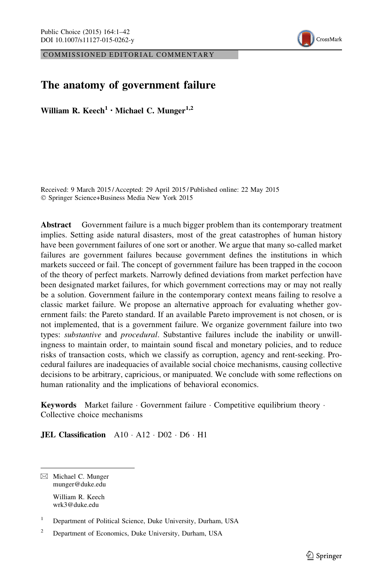COMMISSIONED EDITORIAL COMMENTARY



# The anatomy of government failure

William R. Keech<sup>1</sup> · Michael C. Munger<sup>1,2</sup>

Received: 9 March 2015 / Accepted: 29 April 2015 / Published online: 22 May 2015 - Springer Science+Business Media New York 2015

Abstract Government failure is a much bigger problem than its contemporary treatment implies. Setting aside natural disasters, most of the great catastrophes of human history have been government failures of one sort or another. We argue that many so-called market failures are government failures because government defines the institutions in which markets succeed or fail. The concept of government failure has been trapped in the cocoon of the theory of perfect markets. Narrowly defined deviations from market perfection have been designated market failures, for which government corrections may or may not really be a solution. Government failure in the contemporary context means failing to resolve a classic market failure. We propose an alternative approach for evaluating whether government fails: the Pareto standard. If an available Pareto improvement is not chosen, or is not implemented, that is a government failure. We organize government failure into two types: *substantive* and *procedural*. Substantive failures include the inability or unwillingness to maintain order, to maintain sound fiscal and monetary policies, and to reduce risks of transaction costs, which we classify as corruption, agency and rent-seeking. Procedural failures are inadequacies of available social choice mechanisms, causing collective decisions to be arbitrary, capricious, or manipuated. We conclude with some reflections on human rationality and the implications of behavioral economics.

Keywords Market failure · Government failure · Competitive equilibrium theory · Collective choice mechanisms

**JEL Classification**  $A10 \cdot A12 \cdot D02 \cdot D6 \cdot H1$ 

& Michael C. Munger munger@duke.edu William R. Keech

wrk3@duke.edu

<sup>&</sup>lt;sup>1</sup> Department of Political Science, Duke University, Durham, USA

<sup>&</sup>lt;sup>2</sup> Department of Economics, Duke University, Durham, USA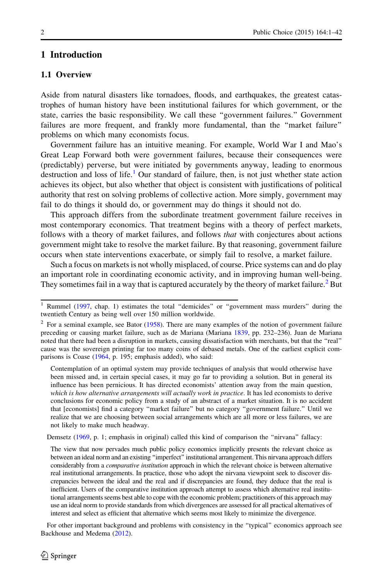# 1.1 Overview

Aside from natural disasters like tornadoes, floods, and earthquakes, the greatest catastrophes of human history have been institutional failures for which government, or the state, carries the basic responsibility. We call these ''government failures.'' Government failures are more frequent, and frankly more fundamental, than the ''market failure'' problems on which many economists focus.

Government failure has an intuitive meaning. For example, World War I and Mao's Great Leap Forward both were government failures, because their consequences were (predictably) perverse, but were initiated by governments anyway, leading to enormous destruction and loss of life.<sup>1</sup> Our standard of failure, then, is not just whether state action achieves its object, but also whether that object is consistent with justifications of political authority that rest on solving problems of collective action. More simply, government may fail to do things it should do, or government may do things it should not do.

This approach differs from the subordinate treatment government failure receives in most contemporary economics. That treatment begins with a theory of perfect markets, follows with a theory of market failures, and follows that with conjectures about actions government might take to resolve the market failure. By that reasoning, government failure occurs when state interventions exacerbate, or simply fail to resolve, a market failure.

Such a focus on markets is not wholly misplaced, of course. Price systems can and do play an important role in coordinating economic activity, and in improving human well-being. They sometimes fail in a way that is captured accurately by the theory of market failure.<sup>2</sup> But

Demsetz ([1969,](#page-38-0) p. 1; emphasis in original) called this kind of comparison the "nirvana" fallacy:

Rummel [\(1997](#page-40-0), chap. 1) estimates the total "demicides" or "government mass murders" during the twentieth Century as being well over 150 million worldwide.

 $2^2$  For a seminal example, see Bator [\(1958\)](#page-37-0). There are many examples of the notion of government failure preceding or causing market failure, such as de Mariana (Mariana [1839,](#page-38-0) pp. 232–236). Juan de Mariana noted that there had been a disruption in markets, causing dissatisfaction with merchants, but that the ''real'' cause was the sovereign printing far too many coins of debased metals. One of the earliest explicit comparisons is Coase ([1964,](#page-38-0) p. 195; emphasis added), who said:

Contemplation of an optimal system may provide techniques of analysis that would otherwise have been missed and, in certain special cases, it may go far to providing a solution. But in general its influence has been pernicious. It has directed economists' attention away from the main question, which is how alternative arrangements will actually work in practice. It has led economists to derive conclusions for economic policy from a study of an abstract of a market situation. It is no accident that [economists] find a category ''market failure'' but no category ''government failure.'' Until we realize that we are choosing between social arrangements which are all more or less failures, we are not likely to make much headway.

The view that now pervades much public policy economics implicitly presents the relevant choice as between an ideal norm and an existing ''imperfect'' institutional arrangement. This nirvana approach differs considerably from a *comparative institution* approach in which the relevant choice is between alternative real institutional arrangements. In practice, those who adopt the nirvana viewpoint seek to discover discrepancies between the ideal and the real and if discrepancies are found, they deduce that the real is inefficient. Users of the comparative institution approach attempt to assess which alternative real institutional arrangements seems best able to cope with the economic problem; practitioners of this approach may use an ideal norm to provide standards from which divergences are assessed for all practical alternatives of interest and select as efficient that alternative which seems most likely to minimize the divergence.

For other important background and problems with consistency in the ''typical'' economics approach see Backhouse and Medema ([2012\)](#page-37-0).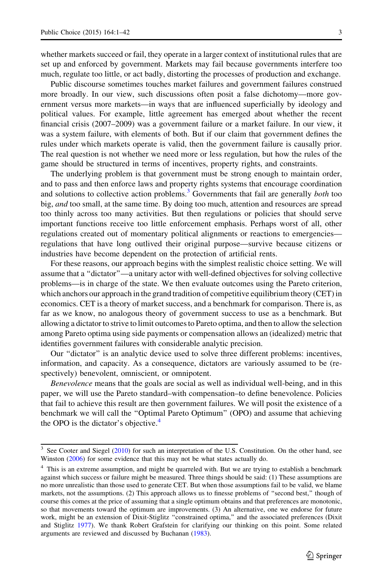whether markets succeed or fail, they operate in a larger context of institutional rules that are set up and enforced by government. Markets may fail because governments interfere too much, regulate too little, or act badly, distorting the processes of production and exchange.

Public discourse sometimes touches market failures and government failures construed more broadly. In our view, such discussions often posit a false dichotomy—more government versus more markets—in ways that are influenced superficially by ideology and political values. For example, little agreement has emerged about whether the recent financial crisis (2007–2009) was a government failure or a market failure. In our view, it was a system failure, with elements of both. But if our claim that government defines the rules under which markets operate is valid, then the government failure is causally prior. The real question is not whether we need more or less regulation, but how the rules of the game should be structured in terms of incentives, property rights, and constraints.

The underlying problem is that government must be strong enough to maintain order, and to pass and then enforce laws and property rights systems that encourage coordination and solutions to collective action problems.<sup>3</sup> Governments that fail are generally *both* too big, *and* too small, at the same time. By doing too much, attention and resources are spread too thinly across too many activities. But then regulations or policies that should serve important functions receive too little enforcement emphasis. Perhaps worst of all, other regulations created out of momentary political alignments or reactions to emergencies regulations that have long outlived their original purpose—survive because citizens or industries have become dependent on the protection of artificial rents.

For these reasons, our approach begins with the simplest realistic choice setting. We will assume that a ''dictator''—a unitary actor with well-defined objectives for solving collective problems—is in charge of the state. We then evaluate outcomes using the Pareto criterion, which anchors our approach in the grand tradition of competitive equilibrium theory (CET) in economics. CET is a theory of market success, and a benchmark for comparison. There is, as far as we know, no analogous theory of government success to use as a benchmark. But allowing a dictator to strive to limit outcomes to Pareto optima, and then to allow the selection among Pareto optima using side payments or compensation allows an (idealized) metric that identifies government failures with considerable analytic precision.

Our ''dictator'' is an analytic device used to solve three different problems: incentives, information, and capacity. As a consequence, dictators are variously assumed to be (respectively) benevolent, omniscient, or omnipotent.

Benevolence means that the goals are social as well as individual well-being, and in this paper, we will use the Pareto standard–with compensation–to define benevolence. Policies that fail to achieve this result are then government failures. We will posit the existence of a benchmark we will call the ''Optimal Pareto Optimum'' (OPO) and assume that achieving the OPO is the dictator's objective. $4$ 

<sup>&</sup>lt;sup>3</sup> See Cooter and Siegel [\(2010](#page-38-0)) for such an interpretation of the U.S. Constitution. On the other hand, see Winston [\(2006\)](#page-41-0) for some evidence that this may not be what states actually do.

<sup>&</sup>lt;sup>4</sup> This is an extreme assumption, and might be quarreled with. But we are trying to establish a benchmark against which success or failure might be measured. Three things should be said: (1) These assumptions are no more unrealistic than those used to generate CET. But when those assumptions fail to be valid, we blame markets, not the assumptions. (2) This approach allows us to finesse problems of "second best," though of course this comes at the price of assuming that a single optimum obtains and that preferences are monotonic, so that movements toward the optimum are improvements. (3) An alternative, one we endorse for future work, might be an extension of Dixit-Stiglitz "constrained optima," and the associated preferences (Dixit and Stiglitz [1977\)](#page-38-0). We thank Robert Grafstein for clarifying our thinking on this point. Some related arguments are reviewed and discussed by Buchanan [\(1983\)](#page-37-0).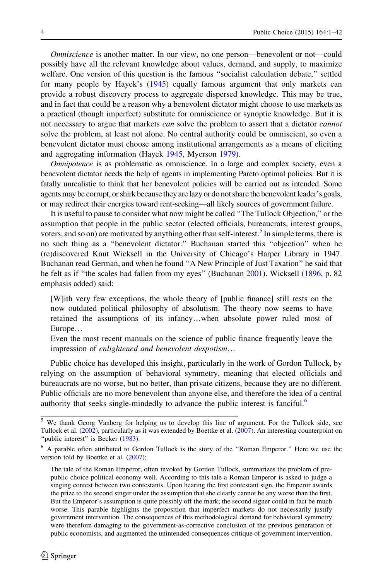Omniscience is another matter. In our view, no one person—benevolent or not—could possibly have all the relevant knowledge about values, demand, and supply, to maximize welfare. One version of this question is the famous ''socialist calculation debate,'' settled for many people by Hayek's ([1945\)](#page-38-0) equally famous argument that only markets can provide a robust discovery process to aggregate dispersed knowledge. This may be true, and in fact that could be a reason why a benevolent dictator might choose to use markets as a practical (though imperfect) substitute for omniscience or synoptic knowledge. But it is not necessary to argue that markets *can* solve the problem to assert that a dictator *cannot* solve the problem, at least not alone. No central authority could be omniscient, so even a benevolent dictator must choose among institutional arrangements as a means of eliciting and aggregating information (Hayek [1945,](#page-38-0) Myerson [1979\)](#page-39-0).

Omnipotence is as problematic as omniscience. In a large and complex society, even a benevolent dictator needs the help of agents in implementing Pareto optimal policies. But it is fatally unrealistic to think that her benevolent policies will be carried out as intended. Some agents may be corrupt, or shirk because they arelazy or do not share the benevolent leader's goals, or may redirect their energies toward rent-seeking—all likely sources of government failure.

It is useful to pause to consider what now might be called ''The Tullock Objection,'' or the assumption that people in the public sector (elected officials, bureaucrats, interest groups, voters, and so on) are motivated by anything other than self-interest.<sup>5</sup> In simple terms, there is no such thing as a ''benevolent dictator.'' Buchanan started this ''objection'' when he (re)discovered Knut Wicksell in the University of Chicago's Harper Library in 1947. Buchanan read German, and when he found ''A New Principle of Just Taxation'' he said that he felt as if "the scales had fallen from my eyes" (Buchanan [2001\)](#page-37-0). Wicksell [\(1896](#page-41-0), p. 82 emphasis added) said:

[W]ith very few exceptions, the whole theory of [public finance] still rests on the now outdated political philosophy of absolutism. The theory now seems to have retained the assumptions of its infancy…when absolute power ruled most of Europe…

Even the most recent manuals on the science of public finance frequently leave the impression of enlightened and benevolent despotism…

Public choice has developed this insight, particularly in the work of Gordon Tullock, by relying on the assumption of behavioral symmetry, meaning that elected officials and bureaucrats are no worse, but no better, than private citizens, because they are no different. Public officials are no more benevolent than anyone else, and therefore the idea of a central authority that seeks single-mindedly to advance the public interest is fanciful.<sup>6</sup>

<sup>&</sup>lt;sup>5</sup> We thank Georg Vanberg for helping us to develop this line of argument. For the Tullock side, see Tullock et al. ([2002\)](#page-40-0), particularly as it was extended by Boettke et al. [\(2007](#page-37-0)). An interesting counterpoint on "public interest" is Becker [\(1983](#page-37-0)).

<sup>6</sup> A parable often attributed to Gordon Tullock is the story of the ''Roman Emperor.'' Here we use the version told by Boettke et al. ([2007](#page-37-0)):

The tale of the Roman Emperor, often invoked by Gordon Tullock, summarizes the problem of prepublic choice political economy well. According to this tale a Roman Emperor is asked to judge a singing contest between two contestants. Upon hearing the first contestant sign, the Emperor awards the prize to the second singer under the assumption that she clearly cannot be any worse than the first. But the Emperor's assumption is quite possibly off the mark; the second signer could in fact be much worse. This parable highlights the proposition that imperfect markets do not necessarily justify government intervention. The consequences of this methodological demand for behavioral symmetry were therefore damaging to the government-as-corrective conclusion of the previous generation of public economists, and augmented the unintended consequences critique of government intervention.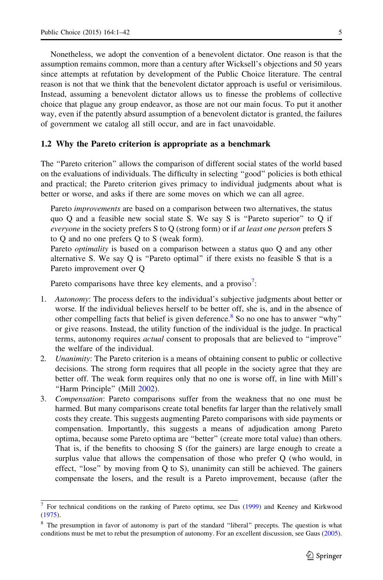Nonetheless, we adopt the convention of a benevolent dictator. One reason is that the assumption remains common, more than a century after Wicksell's objections and 50 years since attempts at refutation by development of the Public Choice literature. The central reason is not that we think that the benevolent dictator approach is useful or verisimilous. Instead, assuming a benevolent dictator allows us to finesse the problems of collective choice that plague any group endeavor, as those are not our main focus. To put it another way, even if the patently absurd assumption of a benevolent dictator is granted, the failures of government we catalog all still occur, and are in fact unavoidable.

# 1.2 Why the Pareto criterion is appropriate as a benchmark

The ''Pareto criterion'' allows the comparison of different social states of the world based on the evaluations of individuals. The difficulty in selecting ''good'' policies is both ethical and practical; the Pareto criterion gives primacy to individual judgments about what is better or worse, and asks if there are some moves on which we can all agree.

Pareto improvements are based on a comparison between two alternatives, the status quo Q and a feasible new social state S. We say S is ''Pareto superior'' to Q if everyone in the society prefers  $S$  to  $Q$  (strong form) or if at least one person prefers  $S$ to Q and no one prefers Q to S (weak form).

Pareto optimality is based on a comparison between a status quo Q and any other alternative S. We say  $Q$  is "Pareto optimal" if there exists no feasible S that is a Pareto improvement over Q

Pareto comparisons have three key elements, and a proviso<sup>7</sup>:

- 1. Autonomy: The process defers to the individual's subjective judgments about better or worse. If the individual believes herself to be better off, she is, and in the absence of other compelling facts that belief is given deference.<sup>8</sup> So no one has to answer "why" or give reasons. Instead, the utility function of the individual is the judge. In practical terms, autonomy requires actual consent to proposals that are believed to ''improve'' the welfare of the individual.
- 2. Unanimity: The Pareto criterion is a means of obtaining consent to public or collective decisions. The strong form requires that all people in the society agree that they are better off. The weak form requires only that no one is worse off, in line with Mill's "Harm Principle" (Mill [2002\)](#page-39-0).
- 3. Compensation: Pareto comparisons suffer from the weakness that no one must be harmed. But many comparisons create total benefits far larger than the relatively small costs they create. This suggests augmenting Pareto comparisons with side payments or compensation. Importantly, this suggests a means of adjudication among Pareto optima, because some Pareto optima are ''better'' (create more total value) than others. That is, if the benefits to choosing S (for the gainers) are large enough to create a surplus value that allows the compensation of those who prefer Q (who would, in effect, ''lose'' by moving from Q to S), unanimity can still be achieved. The gainers compensate the losers, and the result is a Pareto improvement, because (after the

 $7$  For technical conditions on the ranking of Pareto optima, see Das [\(1999](#page-38-0)) and Keeney and Kirkwood [\(1975](#page-39-0)).

<sup>&</sup>lt;sup>8</sup> The presumption in favor of autonomy is part of the standard "liberal" precepts. The question is what conditions must be met to rebut the presumption of autonomy. For an excellent discussion, see Gaus [\(2005\)](#page-38-0).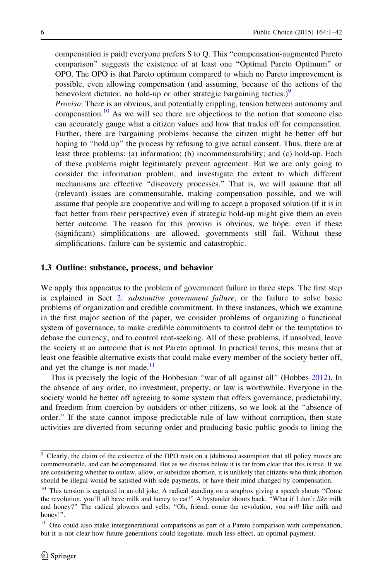compensation is paid) everyone prefers S to Q. This ''compensation-augmented Pareto comparison'' suggests the existence of at least one ''Optimal Pareto Optimum'' or OPO. The OPO is that Pareto optimum compared to which no Pareto improvement is possible, even allowing compensation (and assuming, because of the actions of the benevolent dictator, no hold-up or other strategic bargaining tactics.)<sup>9</sup>

Proviso: There is an obvious, and potentially crippling, tension between autonomy and compensation.<sup>10</sup> As we will see there are objections to the notion that someone else can accurately gauge what a citizen values and how that trades off for compensation. Further, there are bargaining problems because the citizen might be better off but hoping to "hold up" the process by refusing to give actual consent. Thus, there are at least three problems: (a) information; (b) incommensurability; and (c) hold-up. Each of these problems might legitimately prevent agreement. But we are only going to consider the information problem, and investigate the extent to which different mechanisms are effective "discovery processes." That is, we will assume that all (relevant) issues are commensurable, making compensation possible, and we will assume that people are cooperative and willing to accept a proposed solution (if it is in fact better from their perspective) even if strategic hold-up might give them an even better outcome. The reason for this proviso is obvious, we hope: even if these (significant) simplifications are allowed, governments still fail. Without these simplifications, failure can be systemic and catastrophic.

# 1.3 Outline: substance, process, and behavior

We apply this apparatus to the problem of government failure in three steps. The first step is explained in Sect. [2:](#page-6-0) *substantive government failure*, or the failure to solve basic problems of organization and credible commitment. In these instances, which we examine in the first major section of the paper, we consider problems of organizing a functional system of governance, to make credible commitments to control debt or the temptation to debase the currency, and to control rent-seeking. All of these problems, if unsolved, leave the society at an outcome that is not Pareto optimal. In practical terms, this means that at least one feasible alternative exists that could make every member of the society better off, and yet the change is not made.<sup>11</sup>

This is precisely the logic of the Hobbesian "war of all against all" (Hobbes [2012](#page-39-0)). In the absence of any order, no investment, property, or law is worthwhile. Everyone in the society would be better off agreeing to some system that offers governance, predictability, and freedom from coercion by outsiders or other citizens, so we look at the ''absence of order.'' If the state cannot impose predictable rule of law without corruption, then state activities are diverted from securing order and producing basic public goods to lining the

<sup>&</sup>lt;sup>9</sup> Clearly, the claim of the existence of the OPO rests on a (dubious) assumption that all policy moves are commensurable, and can be compensated. But as we discuss below it is far from clear that this is true. If we are considering whether to outlaw, allow, or subsidize abortion, it is unlikely that citizens who think abortion should be illegal would be satisfied with side payments, or have their mind changed by compensation.

<sup>&</sup>lt;sup>10</sup> This tension is captured in an old joke. A radical standing on a soapbox giving a speech shouts "Come the revolution, you'll all have milk and honey to eat!" A bystander shouts back, "What if I don't like milk and honey?" The radical glowers and yells, "Oh, friend, come the revolution, you will like milk and honey!''.

 $11$  One could also make intergenerational comparisons as part of a Pareto comparison with compensation, but it is not clear how future generations could negotiate, much less effect, an optimal payment.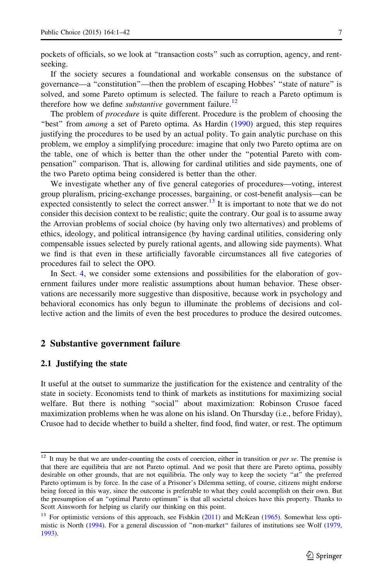<span id="page-6-0"></span>pockets of officials, so we look at ''transaction costs'' such as corruption, agency, and rentseeking.

If the society secures a foundational and workable consensus on the substance of governance—a ''constitution''—then the problem of escaping Hobbes' ''state of nature'' is solved, and some Pareto optimum is selected. The failure to reach a Pareto optimum is therefore how we define *substantive* government failure.<sup>12</sup>

The problem of *procedure* is quite different. Procedure is the problem of choosing the "best" from *among* a set of Pareto optima. As Hardin [\(1990](#page-38-0)) argued, this step requires justifying the procedures to be used by an actual polity. To gain analytic purchase on this problem, we employ a simplifying procedure: imagine that only two Pareto optima are on the table, one of which is better than the other under the ''potential Pareto with compensation'' comparison. That is, allowing for cardinal utilities and side payments, one of the two Pareto optima being considered is better than the other.

We investigate whether any of five general categories of procedures—voting, interest group pluralism, pricing-exchange processes, bargaining, or cost-benefit analysis—can be expected consistently to select the correct answer.<sup>13</sup> It is important to note that we do not consider this decision context to be realistic; quite the contrary. Our goal is to assume away the Arrovian problems of social choice (by having only two alternatives) and problems of ethics, ideology, and political intransigence (by having cardinal utilities, considering only compensable issues selected by purely rational agents, and allowing side payments). What we find is that even in these artificially favorable circumstances all five categories of procedures fail to select the OPO.

In Sect. [4](#page-29-0), we consider some extensions and possibilities for the elaboration of government failures under more realistic assumptions about human behavior. These observations are necessarily more suggestive than dispositive, because work in psychology and behavioral economics has only begun to illuminate the problems of decisions and collective action and the limits of even the best procedures to produce the desired outcomes.

# 2 Substantive government failure

### 2.1 Justifying the state

It useful at the outset to summarize the justification for the existence and centrality of the state in society. Economists tend to think of markets as institutions for maximizing social welfare. But there is nothing ''social'' about maximization: Robinson Crusoe faced maximization problems when he was alone on his island. On Thursday (i.e., before Friday), Crusoe had to decide whether to build a shelter, find food, find water, or rest. The optimum

 $\frac{12}{12}$  It may be that we are under-counting the costs of coercion, either in transition or *per se*. The premise is that there are equilibria that are not Pareto optimal. And we posit that there are Pareto optima, possibly desirable on other grounds, that are not equilibria. The only way to keep the society "at" the preferred Pareto optimum is by force. In the case of a Prisoner's Dilemma setting, of course, citizens might endorse being forced in this way, since the outcome is preferable to what they could accomplish on their own. But the presumption of an ''optimal Pareto optimum'' is that all societal choices have this property. Thanks to Scott Ainsworth for helping us clarify our thinking on this point.

<sup>&</sup>lt;sup>13</sup> For optimistic versions of this approach, see Fishkin ([2011](#page-38-0)) and McKean [\(1965\)](#page-39-0). Somewhat less optimistic is North [\(1994](#page-39-0)). For a general discussion of ''non-market'' failures of institutions see Wolf ([1979,](#page-41-0) [1993\)](#page-41-0).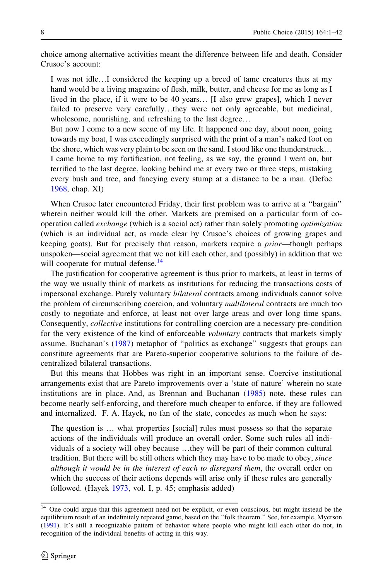choice among alternative activities meant the difference between life and death. Consider Crusoe's account:

I was not idle…I considered the keeping up a breed of tame creatures thus at my hand would be a living magazine of flesh, milk, butter, and cheese for me as long as I lived in the place, if it were to be 40 years… [I also grew grapes], which I never failed to preserve very carefully…they were not only agreeable, but medicinal, wholesome, nourishing, and refreshing to the last degree...

But now I come to a new scene of my life. It happened one day, about noon, going towards my boat, I was exceedingly surprised with the print of a man's naked foot on the shore, which was very plain to be seen on the sand. I stood like one thunderstruck… I came home to my fortification, not feeling, as we say, the ground I went on, but terrified to the last degree, looking behind me at every two or three steps, mistaking every bush and tree, and fancying every stump at a distance to be a man. (Defoe [1968](#page-38-0), chap. XI)

When Crusoe later encountered Friday, their first problem was to arrive at a ''bargain'' wherein neither would kill the other. Markets are premised on a particular form of cooperation called exchange (which is a social act) rather than solely promoting optimization (which is an individual act, as made clear by Crusoe's choices of growing grapes and keeping goats). But for precisely that reason, markets require a *prior*—though perhaps unspoken—social agreement that we not kill each other, and (possibly) in addition that we will cooperate for mutual defense.<sup>14</sup>

The justification for cooperative agreement is thus prior to markets, at least in terms of the way we usually think of markets as institutions for reducing the transactions costs of impersonal exchange. Purely voluntary *bilateral* contracts among individuals cannot solve the problem of circumscribing coercion, and voluntary *multilateral* contracts are much too costly to negotiate and enforce, at least not over large areas and over long time spans. Consequently, collective institutions for controlling coercion are a necessary pre-condition for the very existence of the kind of enforceable voluntary contracts that markets simply assume. Buchanan's [\(1987](#page-37-0)) metaphor of ''politics as exchange'' suggests that groups can constitute agreements that are Pareto-superior cooperative solutions to the failure of decentralized bilateral transactions.

But this means that Hobbes was right in an important sense. Coercive institutional arrangements exist that are Pareto improvements over a 'state of nature' wherein no state institutions are in place. And, as Brennan and Buchanan ([1985\)](#page-37-0) note, these rules can become nearly self-enforcing, and therefore much cheaper to enforce, if they are followed and internalized. F. A. Hayek, no fan of the state, concedes as much when he says:

The question is … what properties [social] rules must possess so that the separate actions of the individuals will produce an overall order. Some such rules all individuals of a society will obey because …they will be part of their common cultural tradition. But there will be still others which they may have to be made to obey, since although it would be in the interest of each to disregard them, the overall order on which the success of their actions depends will arise only if these rules are generally followed. (Hayek [1973](#page-39-0), vol. I, p. 45; emphasis added)

<sup>&</sup>lt;sup>14</sup> One could argue that this agreement need not be explicit, or even conscious, but might instead be the equilibrium result of an indefinitely repeated game, based on the ''folk theorem.'' See, for example, Myerson [\(1991](#page-39-0)). It's still a recognizable pattern of behavior where people who might kill each other do not, in recognition of the individual benefits of acting in this way.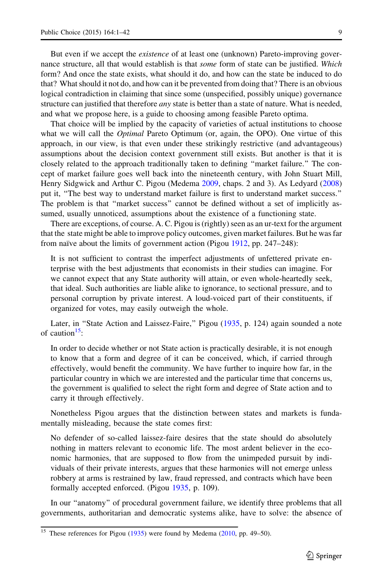But even if we accept the *existence* of at least one (unknown) Pareto-improving governance structure, all that would establish is that *some* form of state can be justified. Which form? And once the state exists, what should it do, and how can the state be induced to do that? What should it not do, and how can it be prevented from doing that? There is an obvious logical contradiction in claiming that since some (unspecified, possibly unique) governance structure can justified that therefore *any* state is better than a state of nature. What is needed, and what we propose here, is a guide to choosing among feasible Pareto optima.

That choice will be implied by the capacity of varieties of actual institutions to choose what we will call the *Optimal* Pareto Optimum (or, again, the OPO). One virtue of this approach, in our view, is that even under these strikingly restrictive (and advantageous) assumptions about the decision context government still exists. But another is that it is closely related to the approach traditionally taken to defining ''market failure.'' The concept of market failure goes well back into the nineteenth century, with John Stuart Mill, Henry Sidgwick and Arthur C. Pigou (Medema [2009,](#page-39-0) chaps. 2 and 3). As Ledyard ([2008](#page-39-0)) put it, ''The best way to understand market failure is first to understand market success.'' The problem is that ''market success'' cannot be defined without a set of implicitly assumed, usually unnoticed, assumptions about the existence of a functioning state.

There are exceptions, of course. A. C. Pigou is (rightly) seen as an ur-text for the argument that the state might be able to improve policy outcomes, given market failures. But he was far from naïve about the limits of government action (Pigou [1912](#page-40-0), pp. 247–248):

It is not sufficient to contrast the imperfect adjustments of unfettered private enterprise with the best adjustments that economists in their studies can imagine. For we cannot expect that any State authority will attain, or even whole-heartedly seek, that ideal. Such authorities are liable alike to ignorance, to sectional pressure, and to personal corruption by private interest. A loud-voiced part of their constituents, if organized for votes, may easily outweigh the whole.

Later, in "State Action and Laissez-Faire," Pigou [\(1935](#page-40-0), p. 124) again sounded a note of caution $15$ :

In order to decide whether or not State action is practically desirable, it is not enough to know that a form and degree of it can be conceived, which, if carried through effectively, would benefit the community. We have further to inquire how far, in the particular country in which we are interested and the particular time that concerns us, the government is qualified to select the right form and degree of State action and to carry it through effectively.

Nonetheless Pigou argues that the distinction between states and markets is fundamentally misleading, because the state comes first:

No defender of so-called laissez-faire desires that the state should do absolutely nothing in matters relevant to economic life. The most ardent believer in the economic harmonies, that are supposed to flow from the unimpeded pursuit by individuals of their private interests, argues that these harmonies will not emerge unless robbery at arms is restrained by law, fraud repressed, and contracts which have been formally accepted enforced. (Pigou [1935](#page-40-0), p. 109).

In our ''anatomy'' of procedural government failure, we identify three problems that all governments, authoritarian and democratic systems alike, have to solve: the absence of

<sup>&</sup>lt;sup>15</sup> These references for Pigou ([1935\)](#page-40-0) were found by Medema ([2010,](#page-39-0) pp. 49–50).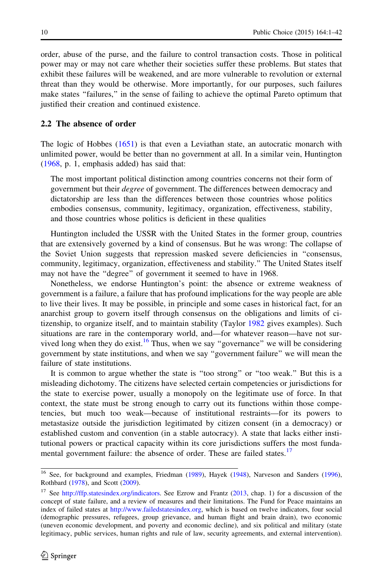order, abuse of the purse, and the failure to control transaction costs. Those in political power may or may not care whether their societies suffer these problems. But states that exhibit these failures will be weakened, and are more vulnerable to revolution or external threat than they would be otherwise. More importantly, for our purposes, such failures make states "failures," in the sense of failing to achieve the optimal Pareto optimum that justified their creation and continued existence.

#### 2.2 The absence of order

The logic of Hobbes ([1651](#page-39-0)) is that even a Leviathan state, an autocratic monarch with unlimited power, would be better than no government at all. In a similar vein, Huntington ([1968,](#page-39-0) p. 1, emphasis added) has said that:

The most important political distinction among countries concerns not their form of government but their degree of government. The differences between democracy and dictatorship are less than the differences between those countries whose politics embodies consensus, community, legitimacy, organization, effectiveness, stability, and those countries whose politics is deficient in these qualities

Huntington included the USSR with the United States in the former group, countries that are extensively governed by a kind of consensus. But he was wrong: The collapse of the Soviet Union suggests that repression masked severe deficiencies in ''consensus, community, legitimacy, organization, effectiveness and stability.'' The United States itself may not have the ''degree'' of government it seemed to have in 1968.

Nonetheless, we endorse Huntington's point: the absence or extreme weakness of government is a failure, a failure that has profound implications for the way people are able to live their lives. It may be possible, in principle and some cases in historical fact, for an anarchist group to govern itself through consensus on the obligations and limits of citizenship, to organize itself, and to maintain stability (Taylor [1982](#page-40-0) gives examples). Such situations are rare in the contemporary world, and—for whatever reason—have not survived long when they do exist.<sup>16</sup> Thus, when we say "governance" we will be considering government by state institutions, and when we say ''government failure'' we will mean the failure of state institutions.

It is common to argue whether the state is ''too strong'' or ''too weak.'' But this is a misleading dichotomy. The citizens have selected certain competencies or jurisdictions for the state to exercise power, usually a monopoly on the legitimate use of force. In that context, the state must be strong enough to carry out its functions within those competencies, but much too weak—because of institutional restraints—for its powers to metastasize outside the jurisdiction legitimated by citizen consent (in a democracy) or established custom and convention (in a stable autocracy). A state that lacks either institutional powers or practical capacity within its core jurisdictions suffers the most fundamental government failure: the absence of order. These are failed states.<sup>17</sup>

<sup>&</sup>lt;sup>16</sup> See, for background and examples, Friedman ([1989\)](#page-38-0), Hayek [\(1948](#page-38-0)), Narveson and Sanders [\(1996\)](#page-39-0), Rothbard ([1978\)](#page-40-0), and Scott ([2009\)](#page-40-0).

<sup>&</sup>lt;sup>17</sup> See <http://ffp.statesindex.org/indicators>. See Ezrow and Frantz [\(2013](#page-38-0), chap. 1) for a discussion of the concept of state failure, and a review of measures and their limitations. The Fund for Peace maintains an index of failed states at <http://www.failedstatesindex.org>, which is based on twelve indicators, four social (demographic pressures, refugees, group grievance, and human flight and brain drain), two economic (uneven economic development, and poverty and economic decline), and six political and military (state legitimacy, public services, human rights and rule of law, security agreements, and external intervention).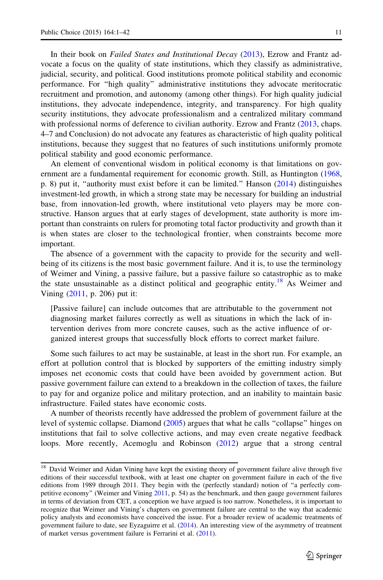In their book on Failed States and Institutional Decay [\(2013](#page-38-0)), Ezrow and Frantz advocate a focus on the quality of state institutions, which they classify as administrative, judicial, security, and political. Good institutions promote political stability and economic performance. For ''high quality'' administrative institutions they advocate meritocratic recruitment and promotion, and autonomy (among other things). For high quality judicial institutions, they advocate independence, integrity, and transparency. For high quality security institutions, they advocate professionalism and a centralized military command with professional norms of deference to civilian authority. Ezrow and Frantz ([2013,](#page-38-0) chaps. 4–7 and Conclusion) do not advocate any features as characteristic of high quality political institutions, because they suggest that no features of such institutions uniformly promote political stability and good economic performance.

An element of conventional wisdom in political economy is that limitations on government are a fundamental requirement for economic growth. Still, as Huntington [\(1968](#page-39-0), p. 8) put it, ''authority must exist before it can be limited.'' Hanson ([2014\)](#page-38-0) distinguishes investment-led growth, in which a strong state may be necessary for building an industrial base, from innovation-led growth, where institutional veto players may be more constructive. Hanson argues that at early stages of development, state authority is more important than constraints on rulers for promoting total factor productivity and growth than it is when states are closer to the technological frontier, when constraints become more important.

The absence of a government with the capacity to provide for the security and wellbeing of its citizens is the most basic government failure. And it is, to use the terminology of Weimer and Vining, a passive failure, but a passive failure so catastrophic as to make the state unsustainable as a distinct political and geographic entity.<sup>18</sup> As Weimer and Vining [\(2011](#page-41-0), p. 206) put it:

[Passive failure] can include outcomes that are attributable to the government not diagnosing market failures correctly as well as situations in which the lack of intervention derives from more concrete causes, such as the active influence of organized interest groups that successfully block efforts to correct market failure.

Some such failures to act may be sustainable, at least in the short run. For example, an effort at pollution control that is blocked by supporters of the emitting industry simply imposes net economic costs that could have been avoided by government action. But passive government failure can extend to a breakdown in the collection of taxes, the failure to pay for and organize police and military protection, and an inability to maintain basic infrastructure. Failed states have economic costs.

A number of theorists recently have addressed the problem of government failure at the level of systemic collapse. Diamond ([2005\)](#page-38-0) argues that what he calls ''collapse'' hinges on institutions that fail to solve collective actions, and may even create negative feedback loops. More recently, Acemoglu and Robinson ([2012](#page-37-0)) argue that a strong central

<sup>&</sup>lt;sup>18</sup> David Weimer and Aidan Vining have kept the existing theory of government failure alive through five editions of their successful textbook, with at least one chapter on government failure in each of the five editions from 1989 through 2011. They begin with the (perfectly standard) notion of ''a perfectly competitive economy'' (Weimer and Vining [2011,](#page-41-0) p. 54) as the benchmark, and then gauge government failures in terms of deviation from CET, a conception we have argued is too narrow. Nonetheless, it is important to recognize that Weimer and Vining's chapters on government failure are central to the way that academic policy analysts and economists have conceived the issue. For a broader review of academic treatments of government failure to date, see Eyzaguirre et al. ([2014\)](#page-38-0). An interesting view of the asymmetry of treatment of market versus government failure is Ferrarini et al. [\(2011](#page-38-0)).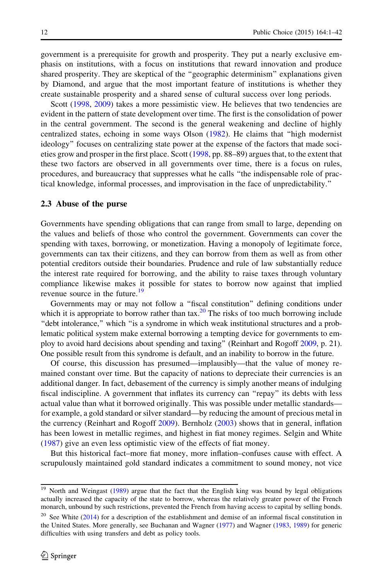government is a prerequisite for growth and prosperity. They put a nearly exclusive emphasis on institutions, with a focus on institutions that reward innovation and produce shared prosperity. They are skeptical of the ''geographic determinism'' explanations given by Diamond, and argue that the most important feature of institutions is whether they create sustainable prosperity and a shared sense of cultural success over long periods.

Scott ([1998,](#page-40-0) [2009](#page-40-0)) takes a more pessimistic view. He believes that two tendencies are evident in the pattern of state development over time. The first is the consolidation of power in the central government. The second is the general weakening and decline of highly centralized states, echoing in some ways Olson ([1982\)](#page-39-0). He claims that ''high modernist ideology'' focuses on centralizing state power at the expense of the factors that made societies grow and prosper in the first place. Scott ([1998](#page-40-0), pp. 88–89) argues that, to the extent that these two factors are observed in all governments over time, there is a focus on rules, procedures, and bureaucracy that suppresses what he calls ''the indispensable role of practical knowledge, informal processes, and improvisation in the face of unpredictability.''

#### 2.3 Abuse of the purse

Governments have spending obligations that can range from small to large, depending on the values and beliefs of those who control the government. Governments can cover the spending with taxes, borrowing, or monetization. Having a monopoly of legitimate force, governments can tax their citizens, and they can borrow from them as well as from other potential creditors outside their boundaries. Prudence and rule of law substantially reduce the interest rate required for borrowing, and the ability to raise taxes through voluntary compliance likewise makes it possible for states to borrow now against that implied revenue source in the future.<sup>19</sup>

Governments may or may not follow a ''fiscal constitution'' defining conditions under which it is appropriate to borrow rather than tax.<sup>20</sup> The risks of too much borrowing include "debt intolerance," which "is a syndrome in which weak institutional structures and a problematic political system make external borrowing a tempting device for governments to employ to avoid hard decisions about spending and taxing'' (Reinhart and Rogoff [2009](#page-40-0), p. 21). One possible result from this syndrome is default, and an inability to borrow in the future.

Of course, this discussion has presumed—implausibly—that the value of money remained constant over time. But the capacity of nations to depreciate their currencies is an additional danger. In fact, debasement of the currency is simply another means of indulging fiscal indiscipline. A government that inflates its currency can ''repay'' its debts with less actual value than what it borrowed originally. This was possible under metallic standards for example, a gold standard or silver standard—by reducing the amount of precious metal in the currency (Reinhart and Rogoff [2009\)](#page-40-0). Bernholz ([2003](#page-37-0)) shows that in general, inflation has been lowest in metallic regimes, and highest in fiat money regimes. Selgin and White ([1987\)](#page-40-0) give an even less optimistic view of the effects of fiat money.

But this historical fact–more fiat money, more inflation–confuses cause with effect. A scrupulously maintained gold standard indicates a commitment to sound money, not vice

<sup>&</sup>lt;sup>19</sup> North and Weingast [\(1989](#page-39-0)) argue that the fact that the English king was bound by legal obligations actually increased the capacity of the state to borrow, whereas the relatively greater power of the French monarch, unbound by such restrictions, prevented the French from having access to capital by selling bonds.

<sup>&</sup>lt;sup>20</sup> See White ( $2014$ ) for a description of the establishment and demise of an informal fiscal constitution in the United States. More generally, see Buchanan and Wagner [\(1977](#page-37-0)) and Wagner [\(1983](#page-41-0), [1989](#page-41-0)) for generic difficulties with using transfers and debt as policy tools.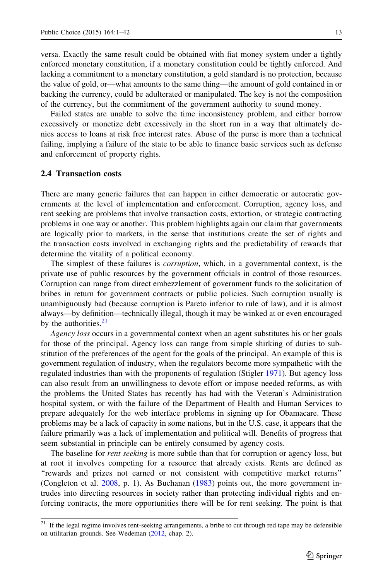versa. Exactly the same result could be obtained with fiat money system under a tightly enforced monetary constitution, if a monetary constitution could be tightly enforced. And lacking a commitment to a monetary constitution, a gold standard is no protection, because the value of gold, or—what amounts to the same thing—the amount of gold contained in or backing the currency, could be adulterated or manipulated. The key is not the composition of the currency, but the commitment of the government authority to sound money.

Failed states are unable to solve the time inconsistency problem, and either borrow excessively or monetize debt excessively in the short run in a way that ultimately denies access to loans at risk free interest rates. Abuse of the purse is more than a technical failing, implying a failure of the state to be able to finance basic services such as defense and enforcement of property rights.

#### 2.4 Transaction costs

There are many generic failures that can happen in either democratic or autocratic governments at the level of implementation and enforcement. Corruption, agency loss, and rent seeking are problems that involve transaction costs, extortion, or strategic contracting problems in one way or another. This problem highlights again our claim that governments are logically prior to markets, in the sense that institutions create the set of rights and the transaction costs involved in exchanging rights and the predictability of rewards that determine the vitality of a political economy.

The simplest of these failures is corruption, which, in a governmental context, is the private use of public resources by the government officials in control of those resources. Corruption can range from direct embezzlement of government funds to the solicitation of bribes in return for government contracts or public policies. Such corruption usually is unambiguously bad (because corruption is Pareto inferior to rule of law), and it is almost always—by definition—technically illegal, though it may be winked at or even encouraged by the authorities. $21$ 

Agency loss occurs in a governmental context when an agent substitutes his or her goals for those of the principal. Agency loss can range from simple shirking of duties to substitution of the preferences of the agent for the goals of the principal. An example of this is government regulation of industry, when the regulators become more sympathetic with the regulated industries than with the proponents of regulation (Stigler [1971\)](#page-40-0). But agency loss can also result from an unwillingness to devote effort or impose needed reforms, as with the problems the United States has recently has had with the Veteran's Administration hospital system, or with the failure of the Department of Health and Human Services to prepare adequately for the web interface problems in signing up for Obamacare. These problems may be a lack of capacity in some nations, but in the U.S. case, it appears that the failure primarily was a lack of implementation and political will. Benefits of progress that seem substantial in principle can be entirely consumed by agency costs.

The baseline for *rent seeking* is more subtle than that for corruption or agency loss, but at root it involves competing for a resource that already exists. Rents are defined as ''rewards and prizes not earned or not consistent with competitive market returns'' (Congleton et al. [2008](#page-38-0), p. 1). As Buchanan [\(1983](#page-37-0)) points out, the more government intrudes into directing resources in society rather than protecting individual rights and enforcing contracts, the more opportunities there will be for rent seeking. The point is that

 $21$  If the legal regime involves rent-seeking arrangements, a bribe to cut through red tape may be defensible on utilitarian grounds. See Wedeman [\(2012](#page-41-0), chap. 2).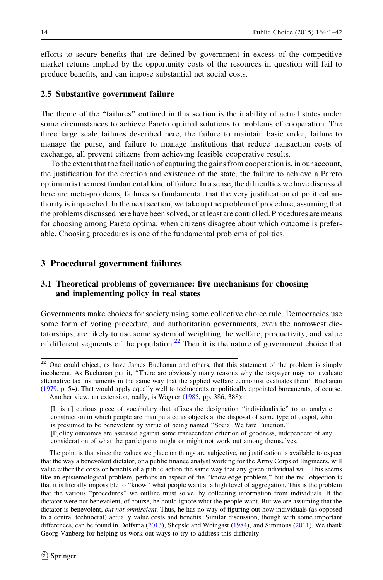<span id="page-13-0"></span>efforts to secure benefits that are defined by government in excess of the competitive market returns implied by the opportunity costs of the resources in question will fail to produce benefits, and can impose substantial net social costs.

### 2.5 Substantive government failure

The theme of the "failures" outlined in this section is the inability of actual states under some circumstances to achieve Pareto optimal solutions to problems of cooperation. The three large scale failures described here, the failure to maintain basic order, failure to manage the purse, and failure to manage institutions that reduce transaction costs of exchange, all prevent citizens from achieving feasible cooperative results.

To the extent that the facilitation of capturing the gains from cooperation is, in our account, the justification for the creation and existence of the state, the failure to achieve a Pareto optimum is the most fundamental kind of failure. In a sense, the difficulties we have discussed here are meta-problems, failures so fundamental that the very justification of political authority is impeached. In the next section, we take up the problem of procedure, assuming that the problems discussed here have been solved, or at least are controlled. Procedures are means for choosing among Pareto optima, when citizens disagree about which outcome is preferable. Choosing procedures is one of the fundamental problems of politics.

# 3 Procedural government failures

# 3.1 Theoretical problems of governance: five mechanisms for choosing and implementing policy in real states

Governments make choices for society using some collective choice rule. Democracies use some form of voting procedure, and authoritarian governments, even the narrowest dictatorships, are likely to use some system of weighting the welfare, productivity, and value of different segments of the population.<sup>22</sup> Then it is the nature of government choice that

 $\overline{22}$  One could object, as have James Buchanan and others, that this statement of the problem is simply incoherent. As Buchanan put it, ''There are obviously many reasons why the taxpayer may not evaluate alternative tax instruments in the same way that the applied welfare economist evaluates them'' Buchanan [\(1979](#page-37-0), p. 54). That would apply equally well to technocrats or politically appointed bureaucrats, of course. Another view, an extension, really, is Wagner [\(1985](#page-41-0), pp. 386, 388):

<sup>[</sup>It is a] curious piece of vocabulary that affixes the designation ''individualistic'' to an analytic construction in which people are manipulated as objects at the disposal of some type of despot, who is presumed to be benevolent by virtue of being named ''Social Welfare Function.'' [P]olicy outcomes are assessed against some transcendent criterion of goodness, independent of any consideration of what the participants might or might not work out among themselves.

The point is that since the values we place on things are subjective, no justification is available to expect that the way a benevolent dictator, or a public finance analyst working for the Army Corps of Engineers, will value either the costs or benefits of a public action the same way that any given individual will. This seems like an epistemological problem, perhaps an aspect of the ''knowledge problem,'' but the real objection is that it is literally impossible to ''know'' what people want at a high level of aggregation. This is the problem that the various "procedures" we outline must solve, by collecting information from individuals. If the dictator were not benevolent, of course, he could ignore what the people want. But we are assuming that the dictator is benevolent, but not omniscient. Thus, he has no way of figuring out how individuals (as opposed to a central technocrat) actually value costs and benefits. Similar discussion, though with some important differences, can be found in Dolfsma ([2013\)](#page-38-0), Shepsle and Weingast ([1984\)](#page-40-0), and Simmons [\(2011](#page-40-0)). We thank Georg Vanberg for helping us work out ways to try to address this difficulty.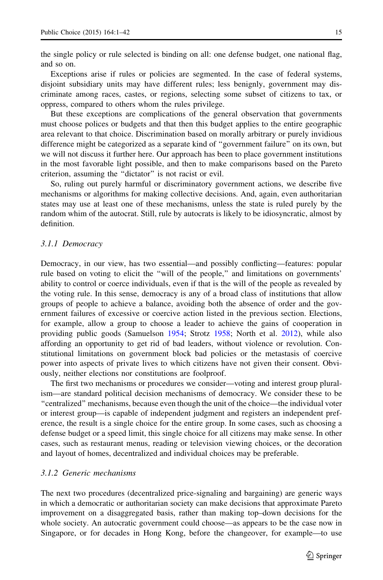Exceptions arise if rules or policies are segmented. In the case of federal systems, disjoint subsidiary units may have different rules; less benignly, government may discriminate among races, castes, or regions, selecting some subset of citizens to tax, or oppress, compared to others whom the rules privilege.

But these exceptions are complications of the general observation that governments must choose polices or budgets and that then this budget applies to the entire geographic area relevant to that choice. Discrimination based on morally arbitrary or purely invidious difference might be categorized as a separate kind of ''government failure'' on its own, but we will not discuss it further here. Our approach has been to place government institutions in the most favorable light possible, and then to make comparisons based on the Pareto criterion, assuming the ''dictator'' is not racist or evil.

So, ruling out purely harmful or discriminatory government actions, we describe five mechanisms or algorithms for making collective decisions. And, again, even authoritarian states may use at least one of these mechanisms, unless the state is ruled purely by the random whim of the autocrat. Still, rule by autocrats is likely to be idiosyncratic, almost by definition.

# 3.1.1 Democracy

Democracy, in our view, has two essential—and possibly conflicting—features: popular rule based on voting to elicit the "will of the people," and limitations on governments' ability to control or coerce individuals, even if that is the will of the people as revealed by the voting rule. In this sense, democracy is any of a broad class of institutions that allow groups of people to achieve a balance, avoiding both the absence of order and the government failures of excessive or coercive action listed in the previous section. Elections, for example, allow a group to choose a leader to achieve the gains of cooperation in providing public goods (Samuelson [1954](#page-40-0); Strotz [1958](#page-40-0); North et al. [2012\)](#page-39-0), while also affording an opportunity to get rid of bad leaders, without violence or revolution. Constitutional limitations on government block bad policies or the metastasis of coercive power into aspects of private lives to which citizens have not given their consent. Obviously, neither elections nor constitutions are foolproof.

The first two mechanisms or procedures we consider—voting and interest group pluralism—are standard political decision mechanisms of democracy. We consider these to be ''centralized'' mechanisms, because even though the unit of the choice—the individual voter or interest group—is capable of independent judgment and registers an independent preference, the result is a single choice for the entire group. In some cases, such as choosing a defense budget or a speed limit, this single choice for all citizens may make sense. In other cases, such as restaurant menus, reading or television viewing choices, or the decoration and layout of homes, decentralized and individual choices may be preferable.

# 3.1.2 Generic mechanisms

The next two procedures (decentralized price-signaling and bargaining) are generic ways in which a democratic or authoritarian society can make decisions that approximate Pareto improvement on a disaggregated basis, rather than making top–down decisions for the whole society. An autocratic government could choose—as appears to be the case now in Singapore, or for decades in Hong Kong, before the changeover, for example—to use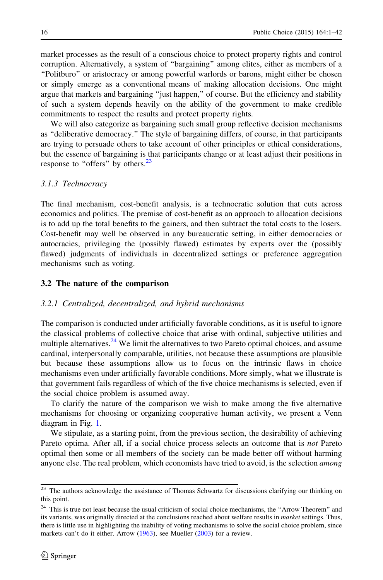market processes as the result of a conscious choice to protect property rights and control corruption. Alternatively, a system of ''bargaining'' among elites, either as members of a ''Politburo'' or aristocracy or among powerful warlords or barons, might either be chosen or simply emerge as a conventional means of making allocation decisions. One might argue that markets and bargaining ''just happen,'' of course. But the efficiency and stability of such a system depends heavily on the ability of the government to make credible commitments to respect the results and protect property rights.

We will also categorize as bargaining such small group reflective decision mechanisms as ''deliberative democracy.'' The style of bargaining differs, of course, in that participants are trying to persuade others to take account of other principles or ethical considerations, but the essence of bargaining is that participants change or at least adjust their positions in response to "offers" by others.<sup>23</sup>

# 3.1.3 Technocracy

The final mechanism, cost-benefit analysis, is a technocratic solution that cuts across economics and politics. The premise of cost-benefit as an approach to allocation decisions is to add up the total benefits to the gainers, and then subtract the total costs to the losers. Cost-benefit may well be observed in any bureaucratic setting, in either democracies or autocracies, privileging the (possibly flawed) estimates by experts over the (possibly flawed) judgments of individuals in decentralized settings or preference aggregation mechanisms such as voting.

#### 3.2 The nature of the comparison

### 3.2.1 Centralized, decentralized, and hybrid mechanisms

The comparison is conducted under artificially favorable conditions, as it is useful to ignore the classical problems of collective choice that arise with ordinal, subjective utilities and multiple alternatives. $24$  We limit the alternatives to two Pareto optimal choices, and assume cardinal, interpersonally comparable, utilities, not because these assumptions are plausible but because these assumptions allow us to focus on the intrinsic flaws in choice mechanisms even under artificially favorable conditions. More simply, what we illustrate is that government fails regardless of which of the five choice mechanisms is selected, even if the social choice problem is assumed away.

To clarify the nature of the comparison we wish to make among the five alternative mechanisms for choosing or organizing cooperative human activity, we present a Venn diagram in Fig. [1](#page-16-0).

We stipulate, as a starting point, from the previous section, the desirability of achieving Pareto optima. After all, if a social choice process selects an outcome that is *not* Pareto optimal then some or all members of the society can be made better off without harming anyone else. The real problem, which economists have tried to avoid, is the selection *among* 

<sup>&</sup>lt;sup>23</sup> The authors acknowledge the assistance of Thomas Schwartz for discussions clarifying our thinking on this point.

<sup>&</sup>lt;sup>24</sup> This is true not least because the usual criticism of social choice mechanisms, the "Arrow Theorem" and its variants, was originally directed at the conclusions reached about welfare results in *market* settings. Thus, there is little use in highlighting the inability of voting mechanisms to solve the social choice problem, since markets can't do it either. Arrow ([1963\)](#page-37-0), see Mueller [\(2003](#page-39-0)) for a review.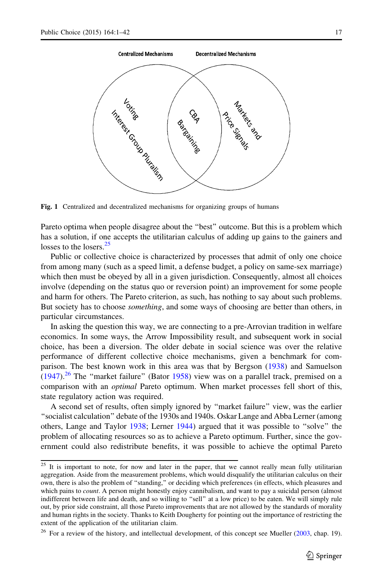<span id="page-16-0"></span>

Fig. 1 Centralized and decentralized mechanisms for organizing groups of humans

Pareto optima when people disagree about the ''best'' outcome. But this is a problem which has a solution, if one accepts the utilitarian calculus of adding up gains to the gainers and losses to the losers.<sup>25</sup>

Public or collective choice is characterized by processes that admit of only one choice from among many (such as a speed limit, a defense budget, a policy on same-sex marriage) which then must be obeyed by all in a given jurisdiction. Consequently, almost all choices involve (depending on the status quo or reversion point) an improvement for some people and harm for others. The Pareto criterion, as such, has nothing to say about such problems. But society has to choose *something*, and some ways of choosing are better than others, in particular circumstances.

In asking the question this way, we are connecting to a pre-Arrovian tradition in welfare economics. In some ways, the Arrow Impossibility result, and subsequent work in social choice, has been a diversion. The older debate in social science was over the relative performance of different collective choice mechanisms, given a benchmark for comparison. The best known work in this area was that by Bergson ([1938\)](#page-37-0) and Samuelson  $(1947)$  $(1947)$ .<sup>26</sup> The "market failure" (Bator [1958](#page-37-0)) view was on a parallel track, premised on a comparison with an optimal Pareto optimum. When market processes fell short of this, state regulatory action was required.

A second set of results, often simply ignored by ''market failure'' view, was the earlier ''socialist calculation'' debate of the 1930s and 1940s. Oskar Lange and Abba Lerner (among others, Lange and Taylor [1938;](#page-39-0) Lerner [1944](#page-39-0)) argued that it was possible to ''solve'' the problem of allocating resources so as to achieve a Pareto optimum. Further, since the government could also redistribute benefits, it was possible to achieve the optimal Pareto

 $25$  It is important to note, for now and later in the paper, that we cannot really mean fully utilitarian aggregation. Aside from the measurement problems, which would disqualify the utilitarian calculus on their own, there is also the problem of ''standing,'' or deciding which preferences (in effects, which pleasures and which pains to *count*. A person might honestly enjoy cannibalism, and want to pay a suicidal person (almost indifferent between life and death, and so willing to "sell" at a low price) to be eaten. We will simply rule out, by prior side constraint, all those Pareto improvements that are not allowed by the standards of morality and human rights in the society. Thanks to Keith Dougherty for pointing out the importance of restricting the extent of the application of the utilitarian claim.

<sup>&</sup>lt;sup>26</sup> For a review of the history, and intellectual development, of this concept see Mueller [\(2003,](#page-39-0) chap. 19).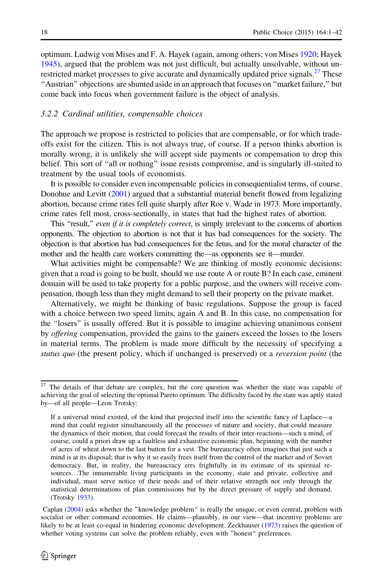optimum. Ludwig von Mises and F. A. Hayek (again, among others; von Mises [1920](#page-41-0); Hayek [1945\)](#page-38-0), argued that the problem was not just difficult, but actually unsolvable, without unrestricted market processes to give accurate and dynamically updated price signals.<sup>27</sup> These ''Austrian'' objections are shunted aside in an approach that focuses on ''market failure,'' but come back into focus when government failure is the object of analysis.

#### 3.2.2 Cardinal utilities, compensable choices

The approach we propose is restricted to policies that are compensable, or for which tradeoffs exist for the citizen. This is not always true, of course. If a person thinks abortion is morally wrong, it is unlikely she will accept side payments or compensation to drop this belief. This sort of ''all or nothing'' issue resists compromise, and is singularly ill-suited to treatment by the usual tools of economists.

It is possible to consider even incompensable policies in consequentialist terms, of course. Donohue and Levitt ([2001](#page-38-0)) argued that a substantial material benefit flowed from legalizing abortion, because crime rates fell quite sharply after Roe v. Wade in 1973. More importantly, crime rates fell most, cross-sectionally, in states that had the highest rates of abortion.

This "result," even if it is completely correct, is simply irrelevant to the concerns of abortion opponents. The objection to abortion is not that it has bad consequences for the society. The objection is that abortion has bad consequences for the fetus, and for the moral character of the mother and the health care workers committing the—as opponents see it—murder.

What activities might be compensable? We are thinking of mostly economic decisions: given that a road is going to be built, should we use route A or route B? In each case, eminent domain will be used to take property for a public purpose, and the owners will receive compensation, though less than they might demand to sell their property on the private market.

Alternatively, we might be thinking of basic regulations. Suppose the group is faced with a choice between two speed limits, again A and B. In this case, no compensation for the ''losers'' is usually offered. But it is possible to imagine achieving unanimous consent by *offering* compensation, provided the gains to the gainers exceed the losses to the losers in material terms. The problem is made more difficult by the necessity of specifying a status quo (the present policy, which if unchanged is preserved) or a *reversion point* (the

 $27$  The details of that debate are complex, but the core question was whether the state was capable of achieving the goal of selecting the optimal Pareto optimum. The difficulty faced by the state was aptly stated by—of all people—Leon Trotsky:

If a universal mind existed, of the kind that projected itself into the scientific fancy of Laplace—a mind that could register simultaneously all the processes of nature and society, that could measure the dynamics of their motion, that could forecast the results of their inter-reactions—such a mind, of course, could a priori draw up a faultless and exhaustive economic plan, beginning with the number of acres of wheat down to the last button for a vest. The bureaucracy often imagines that just such a mind is at its disposal; that is why it so easily frees itself from the control of the market and of Soviet democracy. But, in reality, the bureaucracy errs frightfully in its estimate of its spiritual resources...The innumerable living participants in the economy, state and private, collective and individual, must serve notice of their needs and of their relative strength not only through the statistical determinations of plan commissions but by the direct pressure of supply and demand. (Trotsky [1933](#page-40-0)).

Caplan ([2004\)](#page-37-0) asks whether the ''knowledge problem'' is really the unique, or even central, problem with socialist or other command economies. He claims—plausibly, in our view—that incentive problems are likely to be at least co-equal in hindering economic development. Zeckhauser [\(1973](#page-41-0)) raises the question of whether voting systems can solve the problem reliably, even with ''honest'' preferences.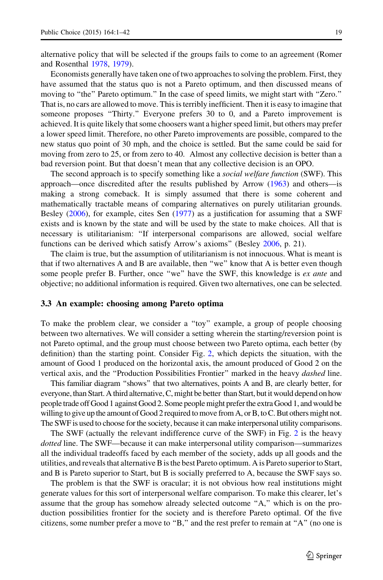alternative policy that will be selected if the groups fails to come to an agreement (Romer and Rosenthal [1978,](#page-40-0) [1979](#page-40-0)).

Economists generally have taken one of two approaches to solving the problem. First, they have assumed that the status quo is not a Pareto optimum, and then discussed means of moving to "the" Pareto optimum." In the case of speed limits, we might start with "Zero." That is, no cars are allowed to move. This is terribly inefficient. Then it is easy to imagine that someone proposes ''Thirty.'' Everyone prefers 30 to 0, and a Pareto improvement is achieved. It is quite likely that some choosers want a higher speed limit, but others may prefer a lower speed limit. Therefore, no other Pareto improvements are possible, compared to the new status quo point of 30 mph, and the choice is settled. But the same could be said for moving from zero to 25, or from zero to 40. Almost any collective decision is better than a bad reversion point. But that doesn't mean that any collective decision is an OPO.

The second approach is to specify something like a *social welfare function* (SWF). This approach—once discredited after the results published by Arrow [\(1963\)](#page-37-0) and others—is making a strong comeback. It is simply assumed that there is some coherent and mathematically tractable means of comparing alternatives on purely utilitarian grounds. Besley [\(2006](#page-37-0)), for example, cites Sen [\(1977\)](#page-40-0) as a justification for assuming that a SWF exists and is known by the state and will be used by the state to make choices. All that is necessary is utilitarianism: ''If interpersonal comparisons are allowed, social welfare functions can be derived which satisfy Arrow's axioms'' (Besley [2006,](#page-37-0) p. 21).

The claim is true, but the assumption of utilitarianism is not innocuous. What is meant is that if two alternatives A and B are available, then ''we'' know that A is better even though some people prefer B. Further, once "we" have the SWF, this knowledge is  $ex$  ante and objective; no additional information is required. Given two alternatives, one can be selected.

#### 3.3 An example: choosing among Pareto optima

To make the problem clear, we consider a ''toy'' example, a group of people choosing between two alternatives. We will consider a setting wherein the starting/reversion point is not Pareto optimal, and the group must choose between two Pareto optima, each better (by definition) than the starting point. Consider Fig. [2](#page-19-0), which depicts the situation, with the amount of Good 1 produced on the horizontal axis, the amount produced of Good 2 on the vertical axis, and the ''Production Possibilities Frontier'' marked in the heavy dashed line.

This familiar diagram ''shows'' that two alternatives, points A and B, are clearly better, for everyone, than Start. A third alternative, C, might be better than Start, but it would depend on how peopletrade off Good 1 against Good 2. Some people might preferthe extra Good 1, and would be willing to give up the amount of Good 2 required to move from A, or B, to C. But others might not. The SWF is used to choose for the society, because it can make interpersonal utility comparisons.

The SWF (actually the relevant indifference curve of the SWF) in Fig. [2](#page-19-0) is the heavy dotted line. The SWF—because it can make interpersonal utility comparison—summarizes all the individual tradeoffs faced by each member of the society, adds up all goods and the utilities, and reveals that alternative B is the best Pareto optimum. A is Pareto superior to Start, and B is Pareto superior to Start, but B is socially preferred to A, because the SWF says so.

The problem is that the SWF is oracular; it is not obvious how real institutions might generate values for this sort of interpersonal welfare comparison. To make this clearer, let's assume that the group has somehow already selected outcome ''A,'' which is on the production possibilities frontier for the society and is therefore Pareto optimal. Of the five citizens, some number prefer a move to ''B,'' and the rest prefer to remain at ''A'' (no one is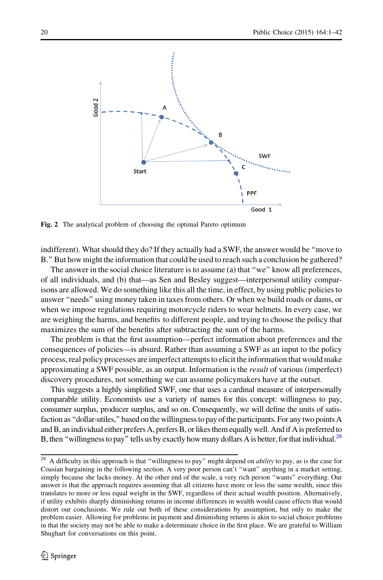<span id="page-19-0"></span>

Fig. 2 The analytical problem of choosing the optimal Pareto optimum

indifferent). What should they do? If they actually had a SWF, the answer would be ''move to B.'' But how might the information that could be used to reach such a conclusion be gathered?

The answer in the social choice literature is to assume (a) that ''we'' know all preferences, of all individuals, and (b) that—as Sen and Besley suggest—interpersonal utility comparisons are allowed. We do something like this all the time, in effect, by using public policies to answer ''needs'' using money taken in taxes from others. Or when we build roads or dams, or when we impose regulations requiring motorcycle riders to wear helmets. In every case, we are weighing the harms, and benefits to different people, and trying to choose the policy that maximizes the sum of the benefits after subtracting the sum of the harms.

The problem is that the first assumption—perfect information about preferences and the consequences of policies—is absurd. Rather than assuming a SWF as an input to the policy process, real policy processes are imperfect attempts to elicit the information that would make approximating a SWF possible, as an output. Information is the *result* of various (imperfect) discovery procedures, not something we can assume policymakers have at the outset.

This suggests a highly simplified SWF, one that uses a cardinal measure of interpersonally comparable utility. Economists use a variety of names for this concept: willingness to pay, consumer surplus, producer surplus, and so on. Consequently, we will define the units of satisfaction as ''dollar-utiles,'' based on the willingness to pay of the participants. For any two points A and B, an individual either prefers A, prefers B, or likes them equally well. And if A is preferred to B, then "willingness to pay" tells us by exactly how many dollars A is better, for that individual.  $^{28}$ 

<sup>&</sup>lt;sup>28</sup> A difficulty in this approach is that "willingness to pay" might depend on *ability* to pay, as is the case for Coasian bargaining in the following section. A very poor person can't ''want'' anything in a market setting, simply because she lacks money. At the other end of the scale, a very rich person ''wants'' everything. Our answer is that the approach requires assuming that all citizens have more or less the same wealth, since this translates to more or less equal weight in the SWF, regardless of their actual wealth position. Alternatively, if utility exhibits sharply diminishing returns in income differences in wealth would cause effects that would distort our conclusions. We rule out both of these considerations by assumption, but only to make the problem easier. Allowing for problems in payment and diminishing returns is akin to social choice problems in that the society may not be able to make a determinate choice in the first place. We are grateful to William Shughart for conversations on this point.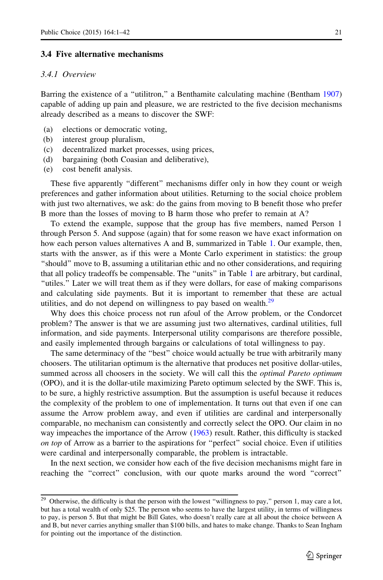# 3.4 Five alternative mechanisms

# 3.4.1 Overview

Barring the existence of a "utilitron," a Benthamite calculating machine (Bentham [1907](#page-37-0)) capable of adding up pain and pleasure, we are restricted to the five decision mechanisms already described as a means to discover the SWF:

- (a) elections or democratic voting,
- (b) interest group pluralism,
- (c) decentralized market processes, using prices,
- (d) bargaining (both Coasian and deliberative),
- (e) cost benefit analysis.

These five apparently ''different'' mechanisms differ only in how they count or weigh preferences and gather information about utilities. Returning to the social choice problem with just two alternatives, we ask: do the gains from moving to B benefit those who prefer B more than the losses of moving to B harm those who prefer to remain at A?

To extend the example, suppose that the group has five members, named Person 1 through Person 5. And suppose (again) that for some reason we have exact information on how each person values alternatives A and B, summarized in Table [1.](#page-21-0) Our example, then, starts with the answer, as if this were a Monte Carlo experiment in statistics: the group ''should'' move to B, assuming a utilitarian ethic and no other considerations, and requiring that all policy tradeoffs be compensable. The ''units'' in Table [1](#page-21-0) are arbitrary, but cardinal, ''utiles.'' Later we will treat them as if they were dollars, for ease of making comparisons and calculating side payments. But it is important to remember that these are actual utilities, and do not depend on willingness to pay based on wealth.<sup>29</sup>

Why does this choice process not run afoul of the Arrow problem, or the Condorcet problem? The answer is that we are assuming just two alternatives, cardinal utilities, full information, and side payments. Interpersonal utility comparisons are therefore possible, and easily implemented through bargains or calculations of total willingness to pay.

The same determinacy of the "best" choice would actually be true with arbitrarily many choosers. The utilitarian optimum is the alternative that produces net positive dollar-utiles, summed across all choosers in the society. We will call this the *optimal Pareto optimum* (OPO), and it is the dollar-utile maximizing Pareto optimum selected by the SWF. This is, to be sure, a highly restrictive assumption. But the assumption is useful because it reduces the complexity of the problem to one of implementation. It turns out that even if one can assume the Arrow problem away, and even if utilities are cardinal and interpersonally comparable, no mechanism can consistently and correctly select the OPO. Our claim in no way impeaches the importance of the Arrow [\(1963](#page-37-0)) result. Rather, this difficulty is stacked on top of Arrow as a barrier to the aspirations for ''perfect'' social choice. Even if utilities were cardinal and interpersonally comparable, the problem is intractable.

In the next section, we consider how each of the five decision mechanisms might fare in reaching the ''correct'' conclusion, with our quote marks around the word ''correct''

 $29$  Otherwise, the difficulty is that the person with the lowest "willingness to pay," person 1, may care a lot, but has a total wealth of only \$25. The person who seems to have the largest utility, in terms of willingness to pay, is person 5. But that might be Bill Gates, who doesn't really care at all about the choice between A and B, but never carries anything smaller than \$100 bills, and hates to make change. Thanks to Sean Ingham for pointing out the importance of the distinction.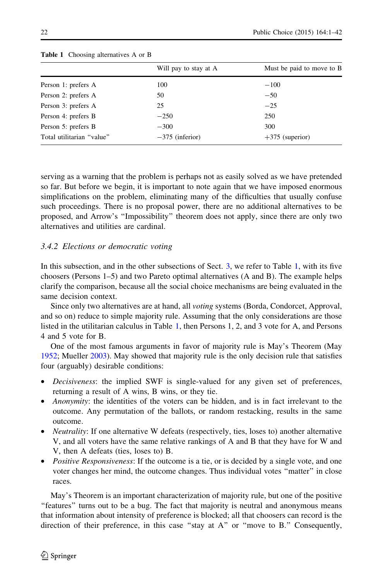<span id="page-21-0"></span>

|                           | Will pay to stay at A | Must be paid to move to B |
|---------------------------|-----------------------|---------------------------|
| Person 1: prefers A       | 100                   | $-100$                    |
| Person 2: prefers A       | 50                    | $-50$                     |
| Person 3: prefers A       | 25                    | $-25$                     |
| Person 4: prefers B       | $-250$                | 250                       |
| Person 5: prefers B       | $-300$                | 300                       |
| Total utilitarian "value" | $-375$ (inferior)     | $+375$ (superior)         |

serving as a warning that the problem is perhaps not as easily solved as we have pretended so far. But before we begin, it is important to note again that we have imposed enormous simplifications on the problem, eliminating many of the difficulties that usually confuse such proceedings. There is no proposal power, there are no additional alternatives to be proposed, and Arrow's ''Impossibility'' theorem does not apply, since there are only two alternatives and utilities are cardinal.

# 3.4.2 Elections or democratic voting

In this subsection, and in the other subsections of Sect. [3](#page-13-0), we refer to Table 1, with its five choosers (Persons 1–5) and two Pareto optimal alternatives (A and B). The example helps clarify the comparison, because all the social choice mechanisms are being evaluated in the same decision context.

Since only two alternatives are at hand, all voting systems (Borda, Condorcet, Approval, and so on) reduce to simple majority rule. Assuming that the only considerations are those listed in the utilitarian calculus in Table 1, then Persons 1, 2, and 3 vote for A, and Persons 4 and 5 vote for B.

One of the most famous arguments in favor of majority rule is May's Theorem (May [1952;](#page-39-0) Mueller [2003\)](#page-39-0). May showed that majority rule is the only decision rule that satisfies four (arguably) desirable conditions:

- Decisiveness: the implied SWF is single-valued for any given set of preferences, returning a result of A wins, B wins, or they tie.
- Anonymity: the identities of the voters can be hidden, and is in fact irrelevant to the outcome. Any permutation of the ballots, or random restacking, results in the same outcome.
- *Neutrality*: If one alternative W defeats (respectively, ties, loses to) another alternative V, and all voters have the same relative rankings of A and B that they have for W and V, then A defeats (ties, loses to) B.
- *Positive Responsiveness*: If the outcome is a tie, or is decided by a single vote, and one voter changes her mind, the outcome changes. Thus individual votes ''matter'' in close races.

May's Theorem is an important characterization of majority rule, but one of the positive ''features'' turns out to be a bug. The fact that majority is neutral and anonymous means that information about intensity of preference is blocked; all that choosers can record is the direction of their preference, in this case "stay at A" or "move to B." Consequently,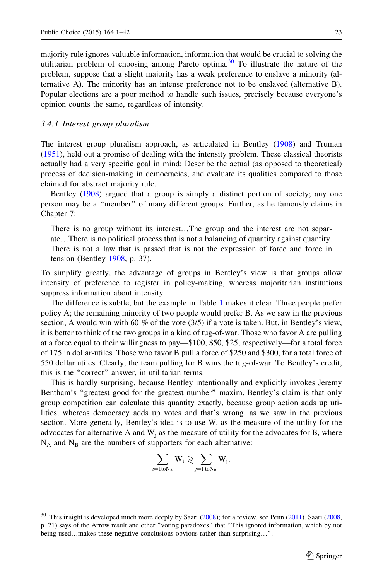majority rule ignores valuable information, information that would be crucial to solving the utilitarian problem of choosing among Pareto optima.<sup>30</sup> To illustrate the nature of the problem, suppose that a slight majority has a weak preference to enslave a minority (alternative A). The minority has an intense preference not to be enslaved (alternative B). Popular elections are a poor method to handle such issues, precisely because everyone's opinion counts the same, regardless of intensity.

# 3.4.3 Interest group pluralism

The interest group pluralism approach, as articulated in Bentley ([1908\)](#page-37-0) and Truman ([1951\)](#page-40-0), held out a promise of dealing with the intensity problem. These classical theorists actually had a very specific goal in mind: Describe the actual (as opposed to theoretical) process of decision-making in democracies, and evaluate its qualities compared to those claimed for abstract majority rule.

Bentley ([1908\)](#page-37-0) argued that a group is simply a distinct portion of society; any one person may be a ''member'' of many different groups. Further, as he famously claims in Chapter 7:

There is no group without its interest…The group and the interest are not separate…There is no political process that is not a balancing of quantity against quantity. There is not a law that is passed that is not the expression of force and force in tension (Bentley [1908](#page-37-0), p. 37).

To simplify greatly, the advantage of groups in Bentley's view is that groups allow intensity of preference to register in policy-making, whereas majoritarian institutions suppress information about intensity.

The difference is subtle, but the example in Table [1](#page-21-0) makes it clear. Three people prefer policy A; the remaining minority of two people would prefer B. As we saw in the previous section, A would win with 60  $%$  of the vote (3/5) if a vote is taken. But, in Bentley's view, it is better to think of the two groups in a kind of tug-of-war. Those who favor A are pulling at a force equal to their willingness to pay—\$100, \$50, \$25, respectively—for a total force of 175 in dollar-utiles. Those who favor B pull a force of \$250 and \$300, for a total force of 550 dollar utiles. Clearly, the team pulling for B wins the tug-of-war. To Bentley's credit, this is the ''correct'' answer, in utilitarian terms.

This is hardly surprising, because Bentley intentionally and explicitly invokes Jeremy Bentham's "greatest good for the greatest number" maxim. Bentley's claim is that only group competition can calculate this quantity exactly, because group action adds up utilities, whereas democracy adds up votes and that's wrong, as we saw in the previous section. More generally, Bentley's idea is to use  $W_i$  as the measure of the utility for the advocates for alternative A and  $W_i$  as the measure of utility for the advocates for B, where  $N_A$  and  $N_B$  are the numbers of supporters for each alternative:

$$
\sum_{i=1\text{to}N_A} W_i \gtrless \sum_{j=1\text{to}N_B} W_j.
$$

<sup>&</sup>lt;sup>30</sup> This insight is developed much more deeply by Saari [\(2008](#page-40-0)); for a review, see Penn ([2011\)](#page-40-0). Saari ([2008,](#page-40-0) p. 21) says of the Arrow result and other ''voting paradoxes'' that ''This ignored information, which by not being used…makes these negative conclusions obvious rather than surprising…''.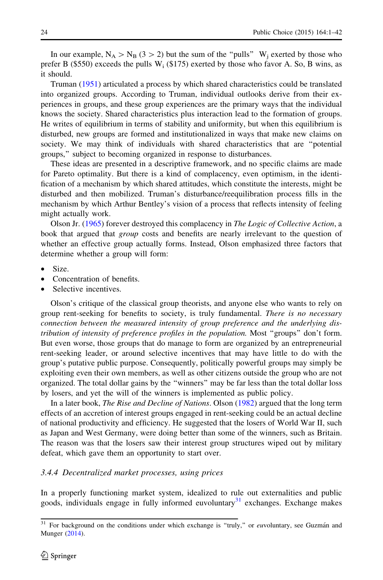In our example,  $N_A > N_B$  (3 > 2) but the sum of the "pulls" W<sub>i</sub> exerted by those who prefer B (\$550) exceeds the pulls  $W_i$  (\$175) exerted by those who favor A. So, B wins, as it should.

Truman ([1951\)](#page-40-0) articulated a process by which shared characteristics could be translated into organized groups. According to Truman, individual outlooks derive from their experiences in groups, and these group experiences are the primary ways that the individual knows the society. Shared characteristics plus interaction lead to the formation of groups. He writes of equilibrium in terms of stability and uniformity, but when this equilibrium is disturbed, new groups are formed and institutionalized in ways that make new claims on society. We may think of individuals with shared characteristics that are ''potential groups,'' subject to becoming organized in response to disturbances.

These ideas are presented in a descriptive framework, and no specific claims are made for Pareto optimality. But there is a kind of complacency, even optimism, in the identification of a mechanism by which shared attitudes, which constitute the interests, might be disturbed and then mobilized. Truman's disturbance/reequilibration process fills in the mechanism by which Arthur Bentley's vision of a process that reflects intensity of feeling might actually work.

Olson Jr. [\(1965](#page-39-0)) forever destroyed this complacency in The Logic of Collective Action, a book that argued that *group* costs and benefits are nearly irrelevant to the question of whether an effective group actually forms. Instead, Olson emphasized three factors that determine whether a group will form:

- Size.
- Concentration of benefits.
- Selective incentives.

Olson's critique of the classical group theorists, and anyone else who wants to rely on group rent-seeking for benefits to society, is truly fundamental. There is no necessary connection between the measured intensity of group preference and the underlying distribution of intensity of preference profiles in the population. Most "groups" don't form. But even worse, those groups that do manage to form are organized by an entrepreneurial rent-seeking leader, or around selective incentives that may have little to do with the group's putative public purpose. Consequently, politically powerful groups may simply be exploiting even their own members, as well as other citizens outside the group who are not organized. The total dollar gains by the ''winners'' may be far less than the total dollar loss by losers, and yet the will of the winners is implemented as public policy.

In a later book, The Rise and Decline of Nations. Olson [\(1982\)](#page-39-0) argued that the long term effects of an accretion of interest groups engaged in rent-seeking could be an actual decline of national productivity and efficiency. He suggested that the losers of World War II, such as Japan and West Germany, were doing better than some of the winners, such as Britain. The reason was that the losers saw their interest group structures wiped out by military defeat, which gave them an opportunity to start over.

### 3.4.4 Decentralized market processes, using prices

In a properly functioning market system, idealized to rule out externalities and public goods, individuals engage in fully informed euvoluntary $31$  exchanges. Exchange makes

For background on the conditions under which exchange is "truly," or euvoluntary, see Guzmán and Munger [\(2014](#page-38-0)).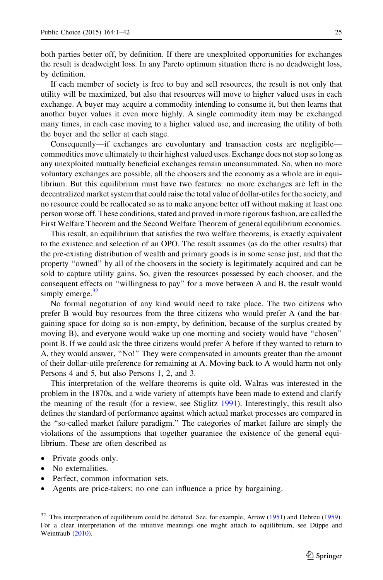both parties better off, by definition. If there are unexploited opportunities for exchanges the result is deadweight loss. In any Pareto optimum situation there is no deadweight loss, by definition.

If each member of society is free to buy and sell resources, the result is not only that utility will be maximized, but also that resources will move to higher valued uses in each exchange. A buyer may acquire a commodity intending to consume it, but then learns that another buyer values it even more highly. A single commodity item may be exchanged many times, in each case moving to a higher valued use, and increasing the utility of both the buyer and the seller at each stage.

Consequently—if exchanges are euvoluntary and transaction costs are negligible commodities move ultimately to their highest valued uses. Exchange does not stop so long as any unexploited mutually beneficial exchanges remain unconsummated. So, when no more voluntary exchanges are possible, all the choosers and the economy as a whole are in equilibrium. But this equilibrium must have two features: no more exchanges are left in the decentralized market system that could raise the total value of dollar-utiles for the society, and no resource could be reallocated so as to make anyone better off without making at least one person worse off. These conditions, stated and proved in more rigorous fashion, are called the First Welfare Theorem and the Second Welfare Theorem of general equilibrium economics.

This result, an equilibrium that satisfies the two welfare theorems, is exactly equivalent to the existence and selection of an OPO. The result assumes (as do the other results) that the pre-existing distribution of wealth and primary goods is in some sense just, and that the property ''owned'' by all of the choosers in the society is legitimately acquired and can be sold to capture utility gains. So, given the resources possessed by each chooser, and the consequent effects on ''willingness to pay'' for a move between A and B, the result would simply emerge. $32$ 

No formal negotiation of any kind would need to take place. The two citizens who prefer B would buy resources from the three citizens who would prefer A (and the bargaining space for doing so is non-empty, by definition, because of the surplus created by moving B), and everyone would wake up one morning and society would have ''chosen'' point B. If we could ask the three citizens would prefer A before if they wanted to return to A, they would answer, ''No!'' They were compensated in amounts greater than the amount of their dollar-utile preference for remaining at A. Moving back to A would harm not only Persons 4 and 5, but also Persons 1, 2, and 3.

This interpretation of the welfare theorems is quite old. Walras was interested in the problem in the 1870s, and a wide variety of attempts have been made to extend and clarify the meaning of the result (for a review, see Stiglitz [1991](#page-40-0)). Interestingly, this result also defines the standard of performance against which actual market processes are compared in the ''so-called market failure paradigm.'' The categories of market failure are simply the violations of the assumptions that together guarantee the existence of the general equilibrium. These are often described as

- Private goods only.
- No externalities.
- Perfect, common information sets.
- Agents are price-takers; no one can influence a price by bargaining.

<sup>&</sup>lt;sup>32</sup> This interpretation of equilibrium could be debated. See, for example, Arrow [\(1951\)](#page-37-0) and Debreu [\(1959\)](#page-38-0). For a clear interpretation of the intuitive meanings one might attach to equilibrium, see Düppe and Weintraub ([2010\)](#page-38-0).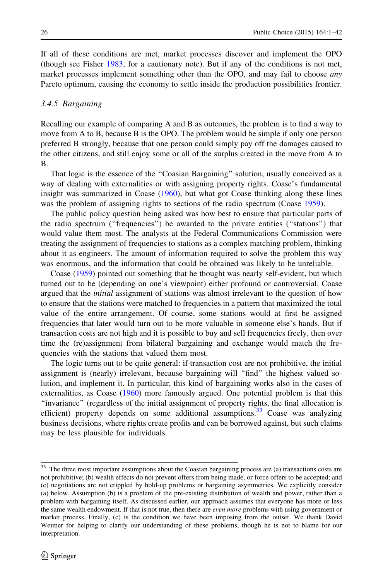If all of these conditions are met, market processes discover and implement the OPO (though see Fisher [1983](#page-38-0), for a cautionary note). But if any of the conditions is not met, market processes implement something other than the OPO, and may fail to choose any Pareto optimum, causing the economy to settle inside the production possibilities frontier.

# 3.4.5 Bargaining

Recalling our example of comparing A and B as outcomes, the problem is to find a way to move from A to B, because B is the OPO. The problem would be simple if only one person preferred B strongly, because that one person could simply pay off the damages caused to the other citizens, and still enjoy some or all of the surplus created in the move from A to B.

That logic is the essence of the ''Coasian Bargaining'' solution, usually conceived as a way of dealing with externalities or with assigning property rights. Coase's fundamental insight was summarized in Coase ([1960\)](#page-38-0), but what got Coase thinking along these lines was the problem of assigning rights to sections of the radio spectrum (Coase [1959\)](#page-38-0).

The public policy question being asked was how best to ensure that particular parts of the radio spectrum (''frequencies'') be awarded to the private entities (''stations'') that would value them most. The analysts at the Federal Communications Commission were treating the assignment of frequencies to stations as a complex matching problem, thinking about it as engineers. The amount of information required to solve the problem this way was enormous, and the information that could be obtained was likely to be unreliable.

Coase [\(1959](#page-38-0)) pointed out something that he thought was nearly self-evident, but which turned out to be (depending on one's viewpoint) either profound or controversial. Coase argued that the *initial* assignment of stations was almost irrelevant to the question of how to ensure that the stations were matched to frequencies in a pattern that maximized the total value of the entire arrangement. Of course, some stations would at first be assigned frequencies that later would turn out to be more valuable in someone else's hands. But if transaction costs are not high and it is possible to buy and sell frequencies freely, then over time the (re)assignment from bilateral bargaining and exchange would match the frequencies with the stations that valued them most.

The logic turns out to be quite general: if transaction cost are not prohibitive, the initial assignment is (nearly) irrelevant, because bargaining will ''find'' the highest valued solution, and implement it. In particular, this kind of bargaining works also in the cases of externalities, as Coase ([1960](#page-38-0)) more famously argued. One potential problem is that this ''invariance'' (regardless of the initial assignment of property rights, the final allocation is efficient) property depends on some additional assumptions.<sup>33</sup> Coase was analyzing business decisions, where rights create profits and can be borrowed against, but such claims may be less plausible for individuals.

The three most important assumptions about the Coasian bargaining process are (a) transactions costs are not prohibitive; (b) wealth effects do not prevent offers from being made, or force offers to be accepted; and (c) negotiations are not crippled by hold-up problems or bargaining asymmetries. We explicitly consider (a) below. Assumption (b) is a problem of the pre-existing distribution of wealth and power, rather than a problem with bargaining itself. As discussed earlier, our approach assumes that everyone has more or less the same wealth endowment. If that is not true, then there are *even more* problems with using government or market process. Finally, (c) is the condition we have been imposing from the outset. We thank David Weimer for helping to clarify our understanding of these problems, though he is not to blame for our interpretation.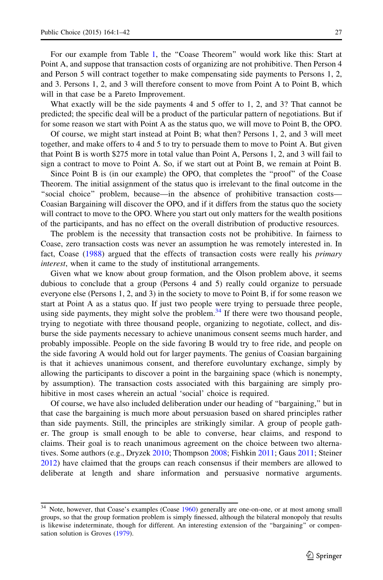For our example from Table [1,](#page-21-0) the "Coase Theorem" would work like this: Start at Point A, and suppose that transaction costs of organizing are not prohibitive. Then Person 4 and Person 5 will contract together to make compensating side payments to Persons 1, 2, and 3. Persons 1, 2, and 3 will therefore consent to move from Point A to Point B, which will in that case be a Pareto Improvement.

What exactly will be the side payments 4 and 5 offer to 1, 2, and 3? That cannot be predicted; the specific deal will be a product of the particular pattern of negotiations. But if for some reason we start with Point A as the status quo, we will move to Point B, the OPO.

Of course, we might start instead at Point B; what then? Persons 1, 2, and 3 will meet together, and make offers to 4 and 5 to try to persuade them to move to Point A. But given that Point B is worth \$275 more in total value than Point A, Persons 1, 2, and 3 will fail to sign a contract to move to Point A. So, if we start out at Point B, we remain at Point B.

Since Point B is (in our example) the OPO, that completes the ''proof'' of the Coase Theorem. The initial assignment of the status quo is irrelevant to the final outcome in the ''social choice'' problem, because—in the absence of prohibitive transaction costs— Coasian Bargaining will discover the OPO, and if it differs from the status quo the society will contract to move to the OPO. Where you start out only matters for the wealth positions of the participants, and has no effect on the overall distribution of productive resources.

The problem is the necessity that transaction costs not be prohibitive. In fairness to Coase, zero transaction costs was never an assumption he was remotely interested in. In fact, Coase ([1988\)](#page-38-0) argued that the effects of transaction costs were really his *primary* interest, when it came to the study of institutional arrangements.

Given what we know about group formation, and the Olson problem above, it seems dubious to conclude that a group (Persons 4 and 5) really could organize to persuade everyone else (Persons 1, 2, and 3) in the society to move to Point B, if for some reason we start at Point A as a status quo. If just two people were trying to persuade three people, using side payments, they might solve the problem.<sup>34</sup> If there were two thousand people, trying to negotiate with three thousand people, organizing to negotiate, collect, and disburse the side payments necessary to achieve unanimous consent seems much harder, and probably impossible. People on the side favoring B would try to free ride, and people on the side favoring A would hold out for larger payments. The genius of Coasian bargaining is that it achieves unanimous consent, and therefore euvoluntary exchange, simply by allowing the participants to discover a point in the bargaining space (which is nonempty, by assumption). The transaction costs associated with this bargaining are simply prohibitive in most cases wherein an actual 'social' choice is required.

Of course, we have also included deliberation under our heading of ''bargaining,'' but in that case the bargaining is much more about persuasion based on shared principles rather than side payments. Still, the principles are strikingly similar. A group of people gather. The group is small enough to be able to converse, hear claims, and respond to claims. Their goal is to reach unanimous agreement on the choice between two alternatives. Some authors (e.g., Dryzek [2010](#page-38-0); Thompson [2008;](#page-40-0) Fishkin [2011](#page-38-0); Gaus [2011;](#page-38-0) Steiner [2012\)](#page-40-0) have claimed that the groups can reach consensus if their members are allowed to deliberate at length and share information and persuasive normative arguments.

Note, however, that Coase's examples (Coase [1960\)](#page-38-0) generally are one-on-one, or at most among small groups, so that the group formation problem is simply finessed, although the bilateral monopoly that results is likewise indeterminate, though for different. An interesting extension of the "bargaining" or compensation solution is Groves ([1979\)](#page-38-0).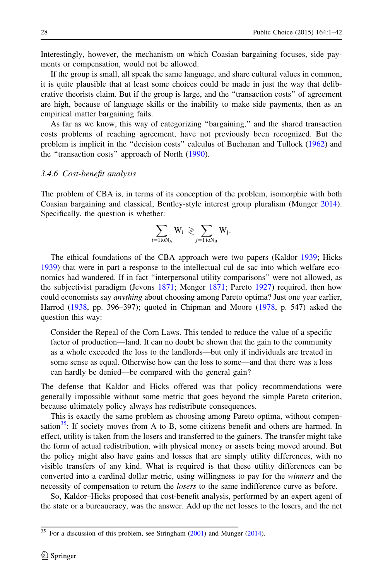Interestingly, however, the mechanism on which Coasian bargaining focuses, side payments or compensation, would not be allowed.

If the group is small, all speak the same language, and share cultural values in common, it is quite plausible that at least some choices could be made in just the way that deliberative theorists claim. But if the group is large, and the ''transaction costs'' of agreement are high, because of language skills or the inability to make side payments, then as an empirical matter bargaining fails.

As far as we know, this way of categorizing ''bargaining,'' and the shared transaction costs problems of reaching agreement, have not previously been recognized. But the problem is implicit in the ''decision costs'' calculus of Buchanan and Tullock ([1962\)](#page-37-0) and the ''transaction costs'' approach of North [\(1990](#page-39-0)).

#### 3.4.6 Cost-benefit analysis

The problem of CBA is, in terms of its conception of the problem, isomorphic with both Coasian bargaining and classical, Bentley-style interest group pluralism (Munger [2014](#page-39-0)). Specifically, the question is whether:

$$
\sum_{i=1\text{to}N_A} W_i \ \gtrless \sum_{j=1\text{to}N_B} W_j.
$$

The ethical foundations of the CBA approach were two papers (Kaldor [1939](#page-39-0); Hicks [1939\)](#page-39-0) that were in part a response to the intellectual cul de sac into which welfare economics had wandered. If in fact ''interpersonal utility comparisons'' were not allowed, as the subjectivist paradigm (Jevons [1871](#page-39-0); Menger [1871;](#page-39-0) Pareto [1927\)](#page-40-0) required, then how could economists say *anything* about choosing among Pareto optima? Just one year earlier, Harrod ([1938,](#page-38-0) pp. 396–397); quoted in Chipman and Moore ([1978,](#page-37-0) p. 547) asked the question this way:

Consider the Repeal of the Corn Laws. This tended to reduce the value of a specific factor of production—land. It can no doubt be shown that the gain to the community as a whole exceeded the loss to the landlords—but only if individuals are treated in some sense as equal. Otherwise how can the loss to some—and that there was a loss can hardly be denied—be compared with the general gain?

The defense that Kaldor and Hicks offered was that policy recommendations were generally impossible without some metric that goes beyond the simple Pareto criterion, because ultimately policy always has redistribute consequences.

This is exactly the same problem as choosing among Pareto optima, without compensation<sup>35</sup>: If society moves from A to B, some citizens benefit and others are harmed. In effect, utility is taken from the losers and transferred to the gainers. The transfer might take the form of actual redistribution, with physical money or assets being moved around. But the policy might also have gains and losses that are simply utility differences, with no visible transfers of any kind. What is required is that these utility differences can be converted into a cardinal dollar metric, using willingness to pay for the winners and the necessity of compensation to return the *losers* to the same indifference curve as before.

So, Kaldor–Hicks proposed that cost-benefit analysis, performed by an expert agent of the state or a bureaucracy, was the answer. Add up the net losses to the losers, and the net

<sup>&</sup>lt;sup>35</sup> For a discussion of this problem, see Stringham [\(2001](#page-40-0)) and Munger [\(2014](#page-39-0)).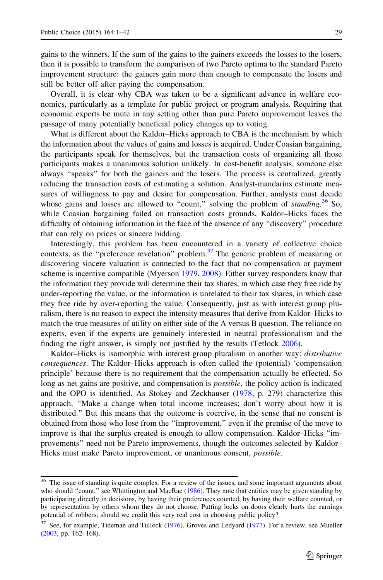gains to the winners. If the sum of the gains to the gainers exceeds the losses to the losers, then it is possible to transform the comparison of two Pareto optima to the standard Pareto improvement structure: the gainers gain more than enough to compensate the losers and still be better off after paying the compensation.

Overall, it is clear why CBA was taken to be a significant advance in welfare economics, particularly as a template for public project or program analysis. Requiring that economic experts be mute in any setting other than pure Pareto improvement leaves the passage of many potentially beneficial policy changes up to voting.

What is different about the Kaldor–Hicks approach to CBA is the mechanism by which the information about the values of gains and losses is acquired. Under Coasian bargaining, the participants speak for themselves, but the transaction costs of organizing all those participants makes a unanimous solution unlikely. In cost-benefit analysis, someone else always ''speaks'' for both the gainers and the losers. The process is centralized, greatly reducing the transaction costs of estimating a solution. Analyst-mandarins estimate measures of willingness to pay and desire for compensation. Further, analysts must decide whose gains and losses are allowed to "count," solving the problem of *standing*.<sup>36</sup> So, while Coasian bargaining failed on transaction costs grounds, Kaldor–Hicks faces the difficulty of obtaining information in the face of the absence of any ''discovery'' procedure that can rely on prices or sincere bidding.

Interestingly, this problem has been encountered in a variety of collective choice contexts, as the "preference revelation" problem.<sup>37</sup> The generic problem of measuring or discovering sincere valuation is connected to the fact that no compensation or payment scheme is incentive compatible (Myerson [1979,](#page-39-0) [2008\)](#page-39-0). Either survey responders know that the information they provide will determine their tax shares, in which case they free ride by under-reporting the value, or the information is unrelated to their tax shares, in which case they free ride by over-reporting the value. Consequently, just as with interest group pluralism, there is no reason to expect the intensity measures that derive from Kaldor–Hicks to match the true measures of utility on either side of the A versus B question. The reliance on experts, even if the experts are genuinely interested in neutral professionalism and the finding the right answer, is simply not justified by the results (Tetlock [2006\)](#page-40-0).

Kaldor–Hicks is isomorphic with interest group pluralism in another way: *distributive* consequences. The Kaldor–Hicks approach is often called the (potential) 'compensation principle' because there is no requirement that the compensation actually be effected. So long as net gains are positive, and compensation is *possible*, the policy action is indicated and the OPO is identified. As Stokey and Zeckhauser [\(1978](#page-40-0), p. 279) characterize this approach, ''Make a change when total income increases; don't worry about how it is distributed.'' But this means that the outcome is coercive, in the sense that no consent is obtained from those who lose from the ''improvement,'' even if the premise of the move to improve is that the surplus created is enough to allow compensation. Kaldor–Hicks ''improvements'' need not be Pareto improvements, though the outcomes selected by Kaldor– Hicks must make Pareto improvement, or unanimous consent, *possible*.

<sup>&</sup>lt;sup>36</sup> The issue of standing is quite complex. For a review of the issues, and some important arguments about who should "count," see Whittington and MacRae [\(1986](#page-41-0)). They note that entities may be given standing by participating directly in decisions, by having their preferences counted, by having their welfare counted, or by representation by others whom they do not choose. Putting locks on doors clearly hurts the earnings potential of robbers; should we credit this very real cost in choosing public policy?

See, for example, Tideman and Tullock [\(1976](#page-40-0)), Groves and Ledyard ([1977\)](#page-38-0). For a review, see Mueller [\(2003](#page-39-0), pp. 162–168).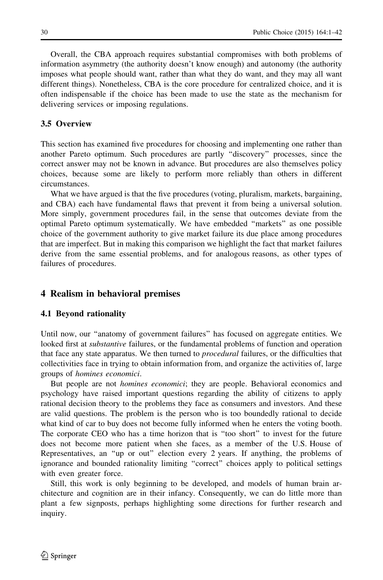<span id="page-29-0"></span>Overall, the CBA approach requires substantial compromises with both problems of information asymmetry (the authority doesn't know enough) and autonomy (the authority imposes what people should want, rather than what they do want, and they may all want different things). Nonetheless, CBA is the core procedure for centralized choice, and it is often indispensable if the choice has been made to use the state as the mechanism for delivering services or imposing regulations.

#### 3.5 Overview

This section has examined five procedures for choosing and implementing one rather than another Pareto optimum. Such procedures are partly ''discovery'' processes, since the correct answer may not be known in advance. But procedures are also themselves policy choices, because some are likely to perform more reliably than others in different circumstances.

What we have argued is that the five procedures (voting, pluralism, markets, bargaining, and CBA) each have fundamental flaws that prevent it from being a universal solution. More simply, government procedures fail, in the sense that outcomes deviate from the optimal Pareto optimum systematically. We have embedded ''markets'' as one possible choice of the government authority to give market failure its due place among procedures that are imperfect. But in making this comparison we highlight the fact that market failures derive from the same essential problems, and for analogous reasons, as other types of failures of procedures.

# 4 Realism in behavioral premises

#### 4.1 Beyond rationality

Until now, our ''anatomy of government failures'' has focused on aggregate entities. We looked first at substantive failures, or the fundamental problems of function and operation that face any state apparatus. We then turned to *procedural* failures, or the difficulties that collectivities face in trying to obtain information from, and organize the activities of, large groups of homines economici.

But people are not homines economici; they are people. Behavioral economics and psychology have raised important questions regarding the ability of citizens to apply rational decision theory to the problems they face as consumers and investors. And these are valid questions. The problem is the person who is too boundedly rational to decide what kind of car to buy does not become fully informed when he enters the voting booth. The corporate CEO who has a time horizon that is ''too short'' to invest for the future does not become more patient when she faces, as a member of the U.S. House of Representatives, an ''up or out'' election every 2 years. If anything, the problems of ignorance and bounded rationality limiting ''correct'' choices apply to political settings with even greater force.

Still, this work is only beginning to be developed, and models of human brain architecture and cognition are in their infancy. Consequently, we can do little more than plant a few signposts, perhaps highlighting some directions for further research and inquiry.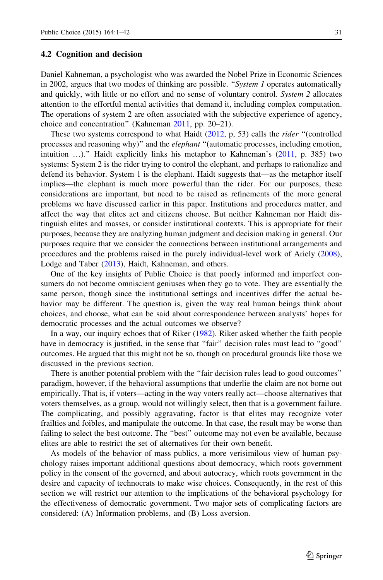#### 4.2 Cognition and decision

Daniel Kahneman, a psychologist who was awarded the Nobel Prize in Economic Sciences in 2002, argues that two modes of thinking are possible. "System 1 operates automatically and quickly, with little or no effort and no sense of voluntary control. System 2 allocates attention to the effortful mental activities that demand it, including complex computation. The operations of system 2 are often associated with the subjective experience of agency, choice and concentration'' (Kahneman [2011](#page-39-0), pp. 20–21).

These two systems correspond to what Haidt  $(2012, p, 53)$  $(2012, p, 53)$  calls the *rider* "(controlled processes and reasoning why)" and the *elephant* "(automatic processes, including emotion, intuition …).'' Haidt explicitly links his metaphor to Kahneman's ([2011](#page-39-0), p. 385) two systems: System 2 is the rider trying to control the elephant, and perhaps to rationalize and defend its behavior. System 1 is the elephant. Haidt suggests that—as the metaphor itself implies—the elephant is much more powerful than the rider. For our purposes, these considerations are important, but need to be raised as refinements of the more general problems we have discussed earlier in this paper. Institutions and procedures matter, and affect the way that elites act and citizens choose. But neither Kahneman nor Haidt distinguish elites and masses, or consider institutional contexts. This is appropriate for their purposes, because they are analyzing human judgment and decision making in general. Our purposes require that we consider the connections between institutional arrangements and procedures and the problems raised in the purely individual-level work of Ariely [\(2008](#page-37-0)), Lodge and Taber ([2013](#page-39-0)), Haidt, Kahneman, and others.

One of the key insights of Public Choice is that poorly informed and imperfect consumers do not become omniscient geniuses when they go to vote. They are essentially the same person, though since the institutional settings and incentives differ the actual behavior may be different. The question is, given the way real human beings think about choices, and choose, what can be said about correspondence between analysts' hopes for democratic processes and the actual outcomes we observe?

In a way, our inquiry echoes that of Riker ([1982](#page-40-0)). Riker asked whether the faith people have in democracy is justified, in the sense that "fair" decision rules must lead to "good" outcomes. He argued that this might not be so, though on procedural grounds like those we discussed in the previous section.

There is another potential problem with the ''fair decision rules lead to good outcomes'' paradigm, however, if the behavioral assumptions that underlie the claim are not borne out empirically. That is, if voters—acting in the way voters really act—choose alternatives that voters themselves, as a group, would not willingly select, then that is a government failure. The complicating, and possibly aggravating, factor is that elites may recognize voter frailties and foibles, and manipulate the outcome. In that case, the result may be worse than failing to select the best outcome. The ''best'' outcome may not even be available, because elites are able to restrict the set of alternatives for their own benefit.

As models of the behavior of mass publics, a more verisimilous view of human psychology raises important additional questions about democracy, which roots government policy in the consent of the governed, and about autocracy, which roots government in the desire and capacity of technocrats to make wise choices. Consequently, in the rest of this section we will restrict our attention to the implications of the behavioral psychology for the effectiveness of democratic government. Two major sets of complicating factors are considered: (A) Information problems, and (B) Loss aversion.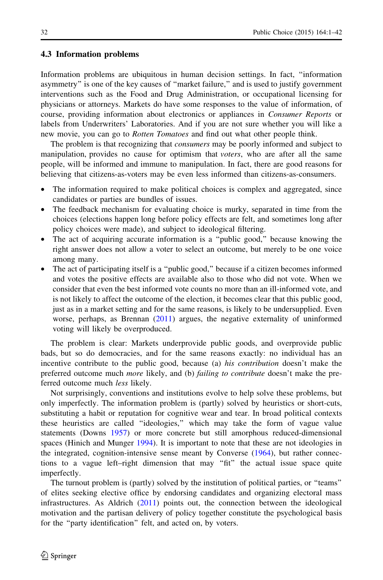#### 4.3 Information problems

Information problems are ubiquitous in human decision settings. In fact, ''information asymmetry'' is one of the key causes of ''market failure,'' and is used to justify government interventions such as the Food and Drug Administration, or occupational licensing for physicians or attorneys. Markets do have some responses to the value of information, of course, providing information about electronics or appliances in Consumer Reports or labels from Underwriters' Laboratories. And if you are not sure whether you will like a new movie, you can go to *Rotten Tomatoes* and find out what other people think.

The problem is that recognizing that consumers may be poorly informed and subject to manipulation, provides no cause for optimism that *voters*, who are after all the same people, will be informed and immune to manipulation. In fact, there are good reasons for believing that citizens-as-voters may be even less informed than citizens-as-consumers.

- The information required to make political choices is complex and aggregated, since candidates or parties are bundles of issues.
- The feedback mechanism for evaluating choice is murky, separated in time from the choices (elections happen long before policy effects are felt, and sometimes long after policy choices were made), and subject to ideological filtering.
- The act of acquiring accurate information is a ''public good,'' because knowing the right answer does not allow a voter to select an outcome, but merely to be one voice among many.
- The act of participating itself is a ''public good,'' because if a citizen becomes informed and votes the positive effects are available also to those who did not vote. When we consider that even the best informed vote counts no more than an ill-informed vote, and is not likely to affect the outcome of the election, it becomes clear that this public good, just as in a market setting and for the same reasons, is likely to be undersupplied. Even worse, perhaps, as Brennan [\(2011\)](#page-37-0) argues, the negative externality of uninformed voting will likely be overproduced.

The problem is clear: Markets underprovide public goods, and overprovide public bads, but so do democracies, and for the same reasons exactly: no individual has an incentive contribute to the public good, because (a) his *contribution* doesn't make the preferred outcome much *more* likely, and (b) *failing to contribute* doesn't make the preferred outcome much less likely.

Not surprisingly, conventions and institutions evolve to help solve these problems, but only imperfectly. The information problem is (partly) solved by heuristics or short-cuts, substituting a habit or reputation for cognitive wear and tear. In broad political contexts these heuristics are called ''ideologies,'' which may take the form of vague value statements (Downs [1957\)](#page-38-0) or more concrete but still amorphous reduced-dimensional spaces (Hinich and Munger [1994\)](#page-39-0). It is important to note that these are not ideologies in the integrated, cognition-intensive sense meant by Converse ([1964\)](#page-38-0), but rather connections to a vague left–right dimension that may ''fit'' the actual issue space quite imperfectly.

The turnout problem is (partly) solved by the institution of political parties, or ''teams'' of elites seeking elective office by endorsing candidates and organizing electoral mass infrastructures. As Aldrich ([2011\)](#page-37-0) points out, the connection between the ideological motivation and the partisan delivery of policy together constitute the psychological basis for the ''party identification'' felt, and acted on, by voters.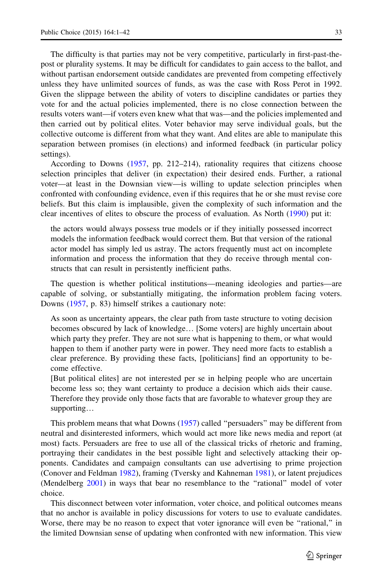The difficulty is that parties may not be very competitive, particularly in first-past-thepost or plurality systems. It may be difficult for candidates to gain access to the ballot, and without partisan endorsement outside candidates are prevented from competing effectively unless they have unlimited sources of funds, as was the case with Ross Perot in 1992. Given the slippage between the ability of voters to discipline candidates or parties they vote for and the actual policies implemented, there is no close connection between the results voters want—if voters even knew what that was—and the policies implemented and then carried out by political elites. Voter behavior may serve individual goals, but the collective outcome is different from what they want. And elites are able to manipulate this separation between promises (in elections) and informed feedback (in particular policy settings).

According to Downs [\(1957](#page-38-0), pp. 212–214), rationality requires that citizens choose selection principles that deliver (in expectation) their desired ends. Further, a rational voter—at least in the Downsian view—is willing to update selection principles when confronted with confounding evidence, even if this requires that he or she must revise core beliefs. But this claim is implausible, given the complexity of such information and the clear incentives of elites to obscure the process of evaluation. As North [\(1990\)](#page-39-0) put it:

the actors would always possess true models or if they initially possessed incorrect models the information feedback would correct them. But that version of the rational actor model has simply led us astray. The actors frequently must act on incomplete information and process the information that they do receive through mental constructs that can result in persistently inefficient paths.

The question is whether political institutions—meaning ideologies and parties—are capable of solving, or substantially mitigating, the information problem facing voters. Downs ([1957,](#page-38-0) p. 83) himself strikes a cautionary note:

As soon as uncertainty appears, the clear path from taste structure to voting decision becomes obscured by lack of knowledge… [Some voters] are highly uncertain about which party they prefer. They are not sure what is happening to them, or what would happen to them if another party were in power. They need more facts to establish a clear preference. By providing these facts, [politicians] find an opportunity to become effective.

[But political elites] are not interested per se in helping people who are uncertain become less so; they want certainty to produce a decision which aids their cause. Therefore they provide only those facts that are favorable to whatever group they are supporting…

This problem means that what Downs ([1957\)](#page-38-0) called ''persuaders'' may be different from neutral and disinterested informers, which would act more like news media and report (at most) facts. Persuaders are free to use all of the classical tricks of rhetoric and framing, portraying their candidates in the best possible light and selectively attacking their opponents. Candidates and campaign consultants can use advertising to prime projection (Conover and Feldman [1982\)](#page-38-0), framing (Tversky and Kahneman [1981\)](#page-41-0), or latent prejudices (Mendelberg [2001\)](#page-39-0) in ways that bear no resemblance to the ''rational'' model of voter choice.

This disconnect between voter information, voter choice, and political outcomes means that no anchor is available in policy discussions for voters to use to evaluate candidates. Worse, there may be no reason to expect that voter ignorance will even be ''rational,'' in the limited Downsian sense of updating when confronted with new information. This view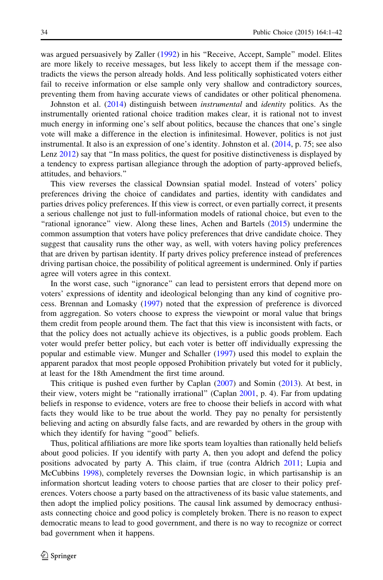was argued persuasively by Zaller ([1992\)](#page-41-0) in his "Receive, Accept, Sample" model. Elites are more likely to receive messages, but less likely to accept them if the message contradicts the views the person already holds. And less politically sophisticated voters either fail to receive information or else sample only very shallow and contradictory sources, preventing them from having accurate views of candidates or other political phenomena.

Johnston et al. ([2014\)](#page-39-0) distinguish between instrumental and identity politics. As the instrumentally oriented rational choice tradition makes clear, it is rational not to invest much energy in informing one's self about politics, because the chances that one's single vote will make a difference in the election is infinitesimal. However, politics is not just instrumental. It also is an expression of one's identity. Johnston et al. [\(2014,](#page-39-0) p. 75; see also Lenz [2012](#page-39-0)) say that "In mass politics, the quest for positive distinctiveness is displayed by a tendency to express partisan allegiance through the adoption of party-approved beliefs, attitudes, and behaviors.''

This view reverses the classical Downsian spatial model. Instead of voters' policy preferences driving the choice of candidates and parties, identity with candidates and parties drives policy preferences. If this view is correct, or even partially correct, it presents a serious challenge not just to full-information models of rational choice, but even to the ''rational ignorance'' view. Along these lines, Achen and Bartels ([2015\)](#page-37-0) undermine the common assumption that voters have policy preferences that drive candidate choice. They suggest that causality runs the other way, as well, with voters having policy preferences that are driven by partisan identity. If party drives policy preference instead of preferences driving partisan choice, the possibility of political agreement is undermined. Only if parties agree will voters agree in this context.

In the worst case, such ''ignorance'' can lead to persistent errors that depend more on voters' expressions of identity and ideological belonging than any kind of cognitive process. Brennan and Lomasky ([1997\)](#page-37-0) noted that the expression of preference is divorced from aggregation. So voters choose to express the viewpoint or moral value that brings them credit from people around them. The fact that this view is inconsistent with facts, or that the policy does not actually achieve its objectives, is a public goods problem. Each voter would prefer better policy, but each voter is better off individually expressing the popular and estimable view. Munger and Schaller [\(1997](#page-39-0)) used this model to explain the apparent paradox that most people opposed Prohibition privately but voted for it publicly, at least for the 18th Amendment the first time around.

This critique is pushed even further by Caplan ([2007\)](#page-37-0) and Somin [\(2013\)](#page-40-0). At best, in their view, voters might be "rationally irrational" (Caplan [2001,](#page-37-0) p. 4). Far from updating beliefs in response to evidence, voters are free to choose their beliefs in accord with what facts they would like to be true about the world. They pay no penalty for persistently believing and acting on absurdly false facts, and are rewarded by others in the group with which they identify for having "good" beliefs.

Thus, political affiliations are more like sports team loyalties than rationally held beliefs about good policies. If you identify with party A, then you adopt and defend the policy positions advocated by party A. This claim, if true (contra Aldrich [2011;](#page-37-0) Lupia and McCubbins [1998\)](#page-39-0), completely reverses the Downsian logic, in which partisanship is an information shortcut leading voters to choose parties that are closer to their policy preferences. Voters choose a party based on the attractiveness of its basic value statements, and then adopt the implied policy positions. The causal link assumed by democracy enthusiasts connecting choice and good policy is completely broken. There is no reason to expect democratic means to lead to good government, and there is no way to recognize or correct bad government when it happens.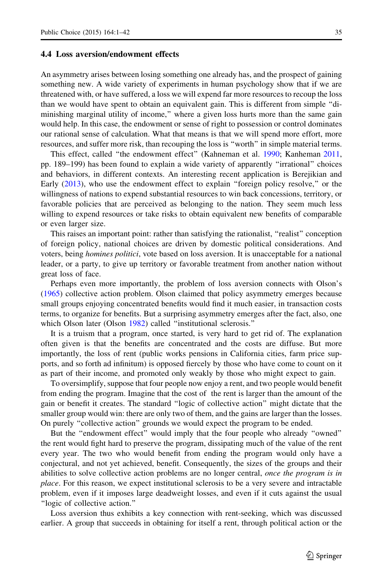#### 4.4 Loss aversion/endowment effects

An asymmetry arises between losing something one already has, and the prospect of gaining something new. A wide variety of experiments in human psychology show that if we are threatened with, or have suffered, a loss we will expend far more resources to recoup the loss than we would have spent to obtain an equivalent gain. This is different from simple ''diminishing marginal utility of income," where a given loss hurts more than the same gain would help. In this case, the endowment or sense of right to possession or control dominates our rational sense of calculation. What that means is that we will spend more effort, more resources, and suffer more risk, than recouping the loss is ''worth'' in simple material terms.

This effect, called ''the endowment effect'' (Kahneman et al. [1990;](#page-39-0) Kanheman [2011](#page-39-0), pp. 189–199) has been found to explain a wide variety of apparently ''irrational'' choices and behaviors, in different contexts. An interesting recent application is Berejikian and Early ([2013\)](#page-37-0), who use the endowment effect to explain "foreign policy resolve," or the willingness of nations to expend substantial resources to win back concessions, territory, or favorable policies that are perceived as belonging to the nation. They seem much less willing to expend resources or take risks to obtain equivalent new benefits of comparable or even larger size.

This raises an important point: rather than satisfying the rationalist, ''realist'' conception of foreign policy, national choices are driven by domestic political considerations. And voters, being homines politici, vote based on loss aversion. It is unacceptable for a national leader, or a party, to give up territory or favorable treatment from another nation without great loss of face.

Perhaps even more importantly, the problem of loss aversion connects with Olson's ([1965\)](#page-39-0) collective action problem. Olson claimed that policy asymmetry emerges because small groups enjoying concentrated benefits would find it much easier, in transaction costs terms, to organize for benefits. But a surprising asymmetry emerges after the fact, also, one which Olson later (Olson [1982\)](#page-39-0) called "institutional sclerosis."

It is a truism that a program, once started, is very hard to get rid of. The explanation often given is that the benefits are concentrated and the costs are diffuse. But more importantly, the loss of rent (public works pensions in California cities, farm price supports, and so forth ad infinitum) is opposed fiercely by those who have come to count on it as part of their income, and promoted only weakly by those who might expect to gain.

To oversimplify, suppose that four people now enjoy a rent, and two people would benefit from ending the program. Imagine that the cost of the rent is larger than the amount of the gain or benefit it creates. The standard ''logic of collective action'' might dictate that the smaller group would win: there are only two of them, and the gains are larger than the losses. On purely ''collective action'' grounds we would expect the program to be ended.

But the ''endowment effect'' would imply that the four people who already ''owned'' the rent would fight hard to preserve the program, dissipating much of the value of the rent every year. The two who would benefit from ending the program would only have a conjectural, and not yet achieved, benefit. Consequently, the sizes of the groups and their abilities to solve collective action problems are no longer central, once the program is in place. For this reason, we expect institutional sclerosis to be a very severe and intractable problem, even if it imposes large deadweight losses, and even if it cuts against the usual ''logic of collective action.''

Loss aversion thus exhibits a key connection with rent-seeking, which was discussed earlier. A group that succeeds in obtaining for itself a rent, through political action or the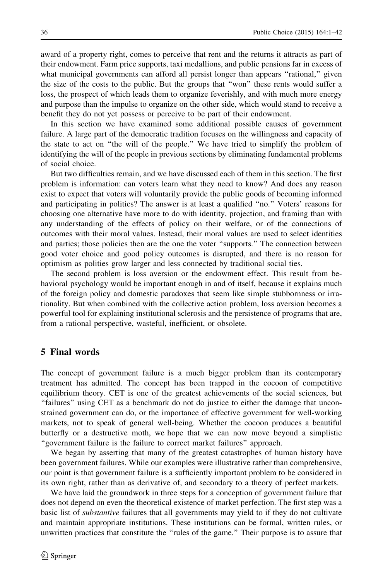award of a property right, comes to perceive that rent and the returns it attracts as part of their endowment. Farm price supports, taxi medallions, and public pensions far in excess of what municipal governments can afford all persist longer than appears "rational," given the size of the costs to the public. But the groups that ''won'' these rents would suffer a loss, the prospect of which leads them to organize feverishly, and with much more energy and purpose than the impulse to organize on the other side, which would stand to receive a benefit they do not yet possess or perceive to be part of their endowment.

In this section we have examined some additional possible causes of government failure. A large part of the democratic tradition focuses on the willingness and capacity of the state to act on ''the will of the people.'' We have tried to simplify the problem of identifying the will of the people in previous sections by eliminating fundamental problems of social choice.

But two difficulties remain, and we have discussed each of them in this section. The first problem is information: can voters learn what they need to know? And does any reason exist to expect that voters will voluntarily provide the public goods of becoming informed and participating in politics? The answer is at least a qualified ''no.'' Voters' reasons for choosing one alternative have more to do with identity, projection, and framing than with any understanding of the effects of policy on their welfare, or of the connections of outcomes with their moral values. Instead, their moral values are used to select identities and parties; those policies then are the one the voter ''supports.'' The connection between good voter choice and good policy outcomes is disrupted, and there is no reason for optimism as polities grow larger and less connected by traditional social ties.

The second problem is loss aversion or the endowment effect. This result from behavioral psychology would be important enough in and of itself, because it explains much of the foreign policy and domestic paradoxes that seem like simple stubbornness or irrationality. But when combined with the collective action problem, loss aversion becomes a powerful tool for explaining institutional sclerosis and the persistence of programs that are, from a rational perspective, wasteful, inefficient, or obsolete.

# 5 Final words

The concept of government failure is a much bigger problem than its contemporary treatment has admitted. The concept has been trapped in the cocoon of competitive equilibrium theory. CET is one of the greatest achievements of the social sciences, but ''failures'' using CET as a benchmark do not do justice to either the damage that unconstrained government can do, or the importance of effective government for well-working markets, not to speak of general well-being. Whether the cocoon produces a beautiful butterfly or a destructive moth, we hope that we can now move beyond a simplistic ''government failure is the failure to correct market failures'' approach.

We began by asserting that many of the greatest catastrophes of human history have been government failures. While our examples were illustrative rather than comprehensive, our point is that government failure is a sufficiently important problem to be considered in its own right, rather than as derivative of, and secondary to a theory of perfect markets.

We have laid the groundwork in three steps for a conception of government failure that does not depend on even the theoretical existence of market perfection. The first step was a basic list of *substantive* failures that all governments may yield to if they do not cultivate and maintain appropriate institutions. These institutions can be formal, written rules, or unwritten practices that constitute the ''rules of the game.'' Their purpose is to assure that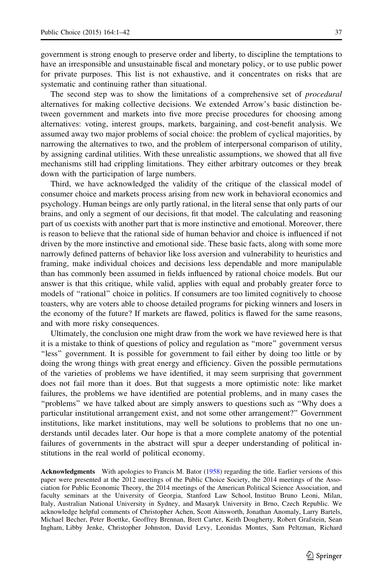government is strong enough to preserve order and liberty, to discipline the temptations to have an irresponsible and unsustainable fiscal and monetary policy, or to use public power for private purposes. This list is not exhaustive, and it concentrates on risks that are systematic and continuing rather than situational.

The second step was to show the limitations of a comprehensive set of *procedural* alternatives for making collective decisions. We extended Arrow's basic distinction between government and markets into five more precise procedures for choosing among alternatives: voting, interest groups, markets, bargaining, and cost-benefit analysis. We assumed away two major problems of social choice: the problem of cyclical majorities, by narrowing the alternatives to two, and the problem of interpersonal comparison of utility, by assigning cardinal utilities. With these unrealistic assumptions, we showed that all five mechanisms still had crippling limitations. They either arbitrary outcomes or they break down with the participation of large numbers.

Third, we have acknowledged the validity of the critique of the classical model of consumer choice and markets process arising from new work in behavioral economics and psychology. Human beings are only partly rational, in the literal sense that only parts of our brains, and only a segment of our decisions, fit that model. The calculating and reasoning part of us coexists with another part that is more instinctive and emotional. Moreover, there is reason to believe that the rational side of human behavior and choice is influenced if not driven by the more instinctive and emotional side. These basic facts, along with some more narrowly defined patterns of behavior like loss aversion and vulnerability to heuristics and framing, make individual choices and decisions less dependable and more manipulable than has commonly been assumed in fields influenced by rational choice models. But our answer is that this critique, while valid, applies with equal and probably greater force to models of ''rational'' choice in politics. If consumers are too limited cognitively to choose toasters, why are voters able to choose detailed programs for picking winners and losers in the economy of the future? If markets are flawed, politics is flawed for the same reasons, and with more risky consequences.

Ultimately, the conclusion one might draw from the work we have reviewed here is that it is a mistake to think of questions of policy and regulation as ''more'' government versus ''less'' government. It is possible for government to fail either by doing too little or by doing the wrong things with great energy and efficiency. Given the possible permutations of the varieties of problems we have identified, it may seem surprising that government does not fail more than it does. But that suggests a more optimistic note: like market failures, the problems we have identified are potential problems, and in many cases the ''problems'' we have talked about are simply answers to questions such as ''Why does a particular institutional arrangement exist, and not some other arrangement?'' Government institutions, like market institutions, may well be solutions to problems that no one understands until decades later. Our hope is that a more complete anatomy of the potential failures of governments in the abstract will spur a deeper understanding of political institutions in the real world of political economy.

Acknowledgments With apologies to Francis M. Bator [\(1958](#page-37-0)) regarding the title. Earlier versions of this paper were presented at the 2012 meetings of the Public Choice Society, the 2014 meetings of the Association for Public Economic Theory, the 2014 meetings of the American Political Science Association, and faculty seminars at the University of Georgia, Stanford Law School, Instituo Bruno Leoni, Milan, Italy, Australian National University in Sydney, and Masaryk University in Brno, Czech Republic. We acknowledge helpful comments of Christopher Achen, Scott Ainsworth, Jonathan Anomaly, Larry Bartels, Michael Becher, Peter Boettke, Geoffrey Brennan, Brett Carter, Keith Dougherty, Robert Grafstein, Sean Ingham, Libby Jenke, Christopher Johnston, David Levy, Leonidas Montes, Sam Peltzman, Richard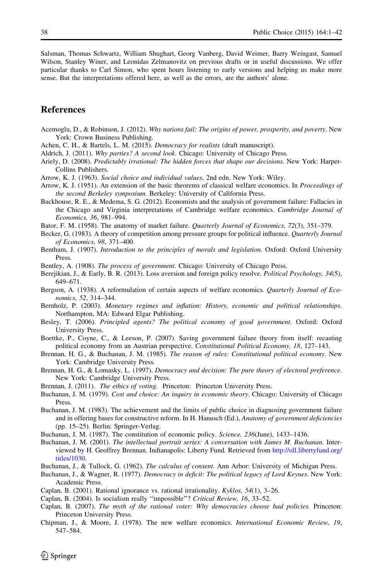<span id="page-37-0"></span>Salsman, Thomas Schwartz, William Shughart, Georg Vanberg, David Weimer, Barry Weingast, Samuel Wilson, Stanley Winer, and Leonidas Zelmanovitz on previous drafts or in useful discussions. We offer particular thanks to Carl Simon, who spent hours listening to early versions and helping us make more sense. But the interpretations offered here, as well as the errors, are the authors' alone.

# **References**

- Acemoglu, D., & Robinson, J. (2012). Why nations fail: The origins of power, prosperity, and poverty. New York: Crown Business Publishing.
- Achen, C. H., & Bartels, L. M. (2015). Democracy for realists (draft manuscript).
- Aldrich, J. (2011). Why parties? A second look. Chicago: University of Chicago Press.
- Ariely, D. (2008). Predictably irrational: The hidden forces that shape our decisions. New York: Harper-Collins Publishers.
- Arrow, K. J. (1963). Social choice and individual values, 2nd edn. New York: Wiley.
- Arrow, K. J. (1951). An extension of the basic theorems of classical welfare economics. In Proceedings of the second Berkeley symposium. Berkeley: University of California Press.
- Backhouse, R. E., & Medema, S. G. (2012). Economists and the analysis of government failure: Fallacies in the Chicago and Virginia interpretations of Cambridge welfare economics. Cambridge Journal of Economics, 36, 981–994.
- Bator, F. M. (1958). The anatomy of market failure. *Quarterly Journal of Economics*, 72(3), 351–379.
- Becker, G. (1983). A theory of competition among pressure groups for political influence. Quarterly Journal of Economics, 98, 371–400.
- Bentham, J. (1907). Introduction to the principles of morals and legislation. Oxford: Oxford University Press.
- Bentley, A. (1908). The process of government. Chicago: University of Chicago Press.
- Berejikian, J., & Early, B. R. (2013). Loss aversion and foreign policy resolve. Political Psychology, 34(5), 649–671.
- Bergson, A. (1938). A reformulation of certain aspects of welfare economics. Quarterly Journal of Economics, 52, 314–344.
- Bernholz, P. (2003). Monetary regimes and inflation: History, economic and political relationships. Northampton, MA: Edward Elgar Publishing.
- Besley, T. (2006). Principled agents? The political economy of good government. Oxford: Oxford University Press.
- Boettke, P., Coyne, C., & Leeson, P. (2007). Saving government failure theory from itself: recasting political economy from an Austrian perspective. Constitutional Political Economy, 18, 127–143.
- Brennan, H. G., & Buchanan, J. M. (1985). The reason of rules: Constitutional political economy. New York: Cambridge University Press.
- Brennan, H. G., & Lomasky, L. (1997). Democracy and decision: The pure theory of electoral preference. New York: Cambridge University Press.
- Brennan, J. (2011). The ethics of voting. Princeton: Princeton University Press.
- Buchanan, J. M. (1979). Cost and choice: An inquiry in economic theory. Chicago: University of Chicago Press.
- Buchanan, J. M. (1983). The achievement and the limits of public choice in diagnosing government failure and in offering bases for constructive reform. In H. Hanusch (Ed.), Anatomy of government deficiencies (pp. 15–25). Berlin: Springer-Verlag.
- Buchanan, J. M. (1987). The constitution of economic policy. *Science*, 236(June), 1433–1436.
- Buchanan, J. M. (2001). The intellectual portrait series: A conversation with James M. Buchanan. Interviewed by H. Geoffrey Brennan. Indianapolis: Liberty Fund. Retrieved from [http://oll.libertyfund.org/](http://oll.libertyfund.org/titles/1030) [titles/1030](http://oll.libertyfund.org/titles/1030).
- Buchanan, J., & Tullock, G. (1962). The calculus of consent. Ann Arbor: University of Michigan Press.
- Buchanan, J., & Wagner, R. (1977). Democracy in deficit: The political legacy of Lord Keynes. New York: Academic Press.
- Caplan, B. (2001). Rational ignorance vs. rational irrationality. Kyklos,  $54(1)$ , 3–26.
- Caplan, B. (2004). Is socialism really ''impossible''? Critical Review, 16, 33–52.
- Caplan, B. (2007). The myth of the rational voter: Why democracies choose bad policies. Princeton: Princeton University Press.
- Chipman, J., & Moore, J. (1978). The new welfare economics. International Economic Review, 19, 547–584.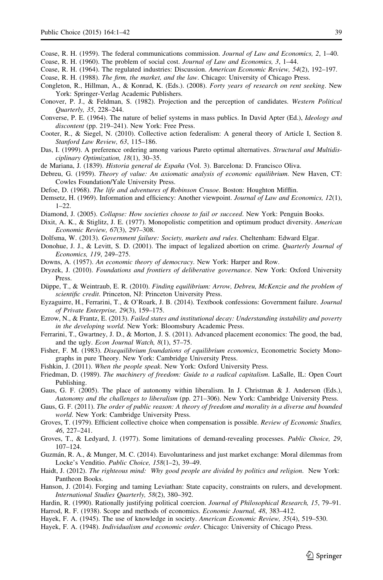- <span id="page-38-0"></span>Coase, R. H. (1959). The federal communications commission. Journal of Law and Economics, 2, 1–40.
- Coase, R. H. (1960). The problem of social cost. Journal of Law and Economics, 3, 1–44.
- Coase, R. H. (1964). The regulated industries: Discussion. American Economic Review, 54(2), 192–197.
- Coase, R. H. (1988). The firm, the market, and the law. Chicago: University of Chicago Press.
- Congleton, R., Hillman, A., & Konrad, K. (Eds.). (2008). Forty years of research on rent seeking. New York: Springer-Verlag Academic Publishers.
- Conover, P. J., & Feldman, S. (1982). Projection and the perception of candidates. Western Political Quarterly, 35, 228–244.
- Converse, P. E. (1964). The nature of belief systems in mass publics. In David Apter (Ed.), Ideology and discontent (pp. 219–241). New York: Free Press.
- Cooter, R., & Siegel, N. (2010). Collective action federalism: A general theory of Article I, Section 8. Stanford Law Review, 63, 115–186.
- Das, I. (1999). A preference ordering among various Pareto optimal alternatives. Structural and Multidisciplinary Optimization, 18(1), 30–35.
- de Mariana, J. (1839). Historia general de España (Vol. 3). Barcelona: D. Francisco Oliva.
- Debreu, G. (1959). Theory of value: An axiomatic analysis of economic equilibrium. New Haven, CT: Cowles Foundation/Yale University Press.
- Defoe, D. (1968). The life and adventures of Robinson Crusoe. Boston: Houghton Mifflin.
- Demsetz, H. (1969). Information and efficiency: Another viewpoint. Journal of Law and Economics, 12(1), 1–22.
- Diamond, J. (2005). Collapse: How societies choose to fail or succeed. New York: Penguin Books.
- Dixit, A. K., & Stiglitz, J. E. (1977). Monopolistic competition and optimum product diversity. American Economic Review, 67(3), 297–308.
- Dolfsma, W. (2013). Government failure: Society, markets and rules. Cheltenham: Edward Elgar.
- Donohue, J. J., & Levitt, S. D. (2001). The impact of legalized abortion on crime. Quarterly Journal of Economics, 119, 249–275.
- Downs, A. (1957). An economic theory of democracy. New York: Harper and Row.
- Dryzek, J. (2010). Foundations and frontiers of deliberative governance. New York: Oxford University Press.
- Düppe, T., & Weintraub, E. R. (2010). Finding equilibrium: Arrow, Debreu, McKenzie and the problem of scientific credit. Princeton, NJ: Princeton University Press.
- Eyzaguirre, H., Ferrarini, T., & O'Roark, J. B. (2014). Textbook confessions: Government failure. Journal of Private Enterprise, 29(3), 159–175.
- Ezrow, N., & Frantz, E. (2013). Failed states and institutional decay: Understanding instability and poverty in the developing world. New York: Bloomsbury Academic Press.
- Ferrarini, T., Gwartney, J. D., & Morton, J. S. (2011). Advanced placement economics: The good, the bad, and the ugly. Econ Journal Watch, 8(1), 57–75.
- Fisher, F. M. (1983). Disequilibrium foundations of equilibrium economics, Econometric Society Monographs in pure Theory. New York: Cambridge University Press.
- Fishkin, J. (2011). When the people speak. New York: Oxford University Press.
- Friedman, D. (1989). The machinery of freedom: Guide to a radical capitalism. LaSalle, IL: Open Court Publishing.
- Gaus, G. F. (2005). The place of autonomy within liberalism. In J. Christman & J. Anderson (Eds.), Autonomy and the challenges to liberalism (pp. 271–306). New York: Cambridge University Press.
- Gaus, G. F. (2011). The order of public reason: A theory of freedom and morality in a diverse and bounded world. New York: Cambridge University Press.
- Groves, T. (1979). Efficient collective choice when compensation is possible. Review of Economic Studies, 46, 227–241.
- Groves, T., & Ledyard, J. (1977). Some limitations of demand-revealing processes. Public Choice, 29, 107–124.
- Guzma´n, R. A., & Munger, M. C. (2014). Euvoluntariness and just market exchange: Moral dilemmas from Locke's Venditio. Public Choice, 158(1–2), 39–49.
- Haidt, J. (2012). The righteous mind: Why good people are divided by politics and religion. New York: Pantheon Books.
- Hanson, J. (2014). Forging and taming Leviathan: State capacity, constraints on rulers, and development. International Studies Quarterly, 58(2), 380–392.
- Hardin, R. (1990). Rationally justifying political coercion. Journal of Philosophical Research, 15, 79-91. Harrod, R. F. (1938). Scope and methods of economics. Economic Journal, 48, 383–412.
- Hayek, F. A. (1945). The use of knowledge in society. American Economic Review, 35(4), 519–530.
- Hayek, F. A. (1948). Individualism and economic order. Chicago: University of Chicago Press.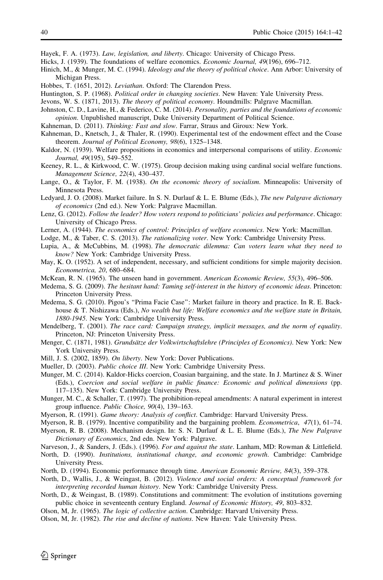<span id="page-39-0"></span>Hayek, F. A. (1973). Law, legislation, and liberty. Chicago: University of Chicago Press.

- Hicks, J. (1939). The foundations of welfare economics. Economic Journal, 49(196), 696–712.
- Hinich, M., & Munger, M. C. (1994). Ideology and the theory of political choice. Ann Arbor: University of Michigan Press.
- Hobbes, T. (1651, 2012). Leviathan. Oxford: The Clarendon Press.
- Huntington, S. P. (1968). *Political order in changing societies*. New Haven: Yale University Press.
- Jevons, W. S. (1871, 2013). The theory of political economy. Houndmills: Palgrave Macmillan.
- Johnston, C. D., Lavine, H., & Federico, C. M. (2014). Personality, parties and the foundations of economic opinion. Unpublished manuscript, Duke University Department of Political Science.
- Kahneman, D. (2011). Thinking: Fast and slow. Farrar, Straus and Giroux: New York.
- Kahneman, D., Knetsch, J., & Thaler, R. (1990). Experimental test of the endowment effect and the Coase theorem. Journal of Political Economy, 98(6), 1325–1348.
- Kaldor, N. (1939). Welfare propositions in economics and interpersonal comparisons of utility. *Economic* Journal, 49(195), 549–552.
- Keeney, R. L., & Kirkwood, C. W. (1975). Group decision making using cardinal social welfare functions. Management Science, 22(4), 430–437.
- Lange, O., & Taylor, F. M. (1938). On the economic theory of socialism. Minneapolis: University of Minnesota Press.
- Ledyard, J. O. (2008). Market failure. In S. N. Durlauf & L. E. Blume (Eds.), The new Palgrave dictionary of economics (2nd ed.). New York: Palgrave Macmillan.
- Lenz, G. (2012). Follow the leader? How voters respond to politicians' policies and performance. Chicago: University of Chicago Press.
- Lerner, A. (1944). The economics of control: Principles of welfare economics. New York: Macmillan.
- Lodge, M., & Taber, C. S. (2013). The rationalizing voter. New York: Cambridge University Press.
- Lupia, A., & McCubbins, M. (1998). The democratic dilemma: Can voters learn what they need to know? New York: Cambridge University Press.
- May, K. O. (1952). A set of independent, necessary, and sufficient conditions for simple majority decision. Econometrica, 20, 680–684.
- McKean, R. N. (1965). The unseen hand in government. American Economic Review, 55(3), 496–506.
- Medema, S. G. (2009). The hesitant hand: Taming self-interest in the history of economic ideas. Princeton: Princeton University Press.
- Medema, S. G. (2010). Pigou's ''Prima Facie Case'': Market failure in theory and practice. In R. E. Backhouse & T. Nishizawa (Eds.), No wealth but life: Welfare economics and the welfare state in Britain, 1880-1945. New York: Cambridge University Press.
- Mendelberg, T. (2001). The race card: Campaign strategy, implicit messages, and the norm of equality. Princeton, NJ: Princeton University Press.
- Menger, C. (1871, 1981). Grundsätze der Volkwirtschaftslehre (Principles of Economics). New York: New York University Press.
- Mill, J. S. (2002, 1859). On liberty. New York: Dover Publications.
- Mueller, D. (2003). Public choice III. New York: Cambridge University Press.

Munger, M. C. (2014). Kaldor-Hicks coercion, Coasian bargaining, and the state. In J. Martinez & S. Winer (Eds.), Coercion and social welfare in public finance: Economic and political dimensions (pp. 117–135). New York: Cambridge University Press.

- Munger, M. C., & Schaller, T. (1997). The prohibition-repeal amendments: A natural experiment in interest group influence. Public Choice, 90(4), 139–163.
- Myerson, R. (1991). Game theory: Analysis of conflict. Cambridge: Harvard University Press.
- Myerson, R. B. (1979). Incentive compatibility and the bargaining problem. *Econometrica*, 47(1), 61–74.
- Myerson, R. B. (2008). Mechanism design. In: S. N. Durlauf & L. E. Blume (Eds.), The New Palgrave Dictionary of Economics, 2nd edn. New York: Palgrave.
- Narveson, J., & Sanders, J. (Eds.). (1996). For and against the state. Lanham, MD: Rowman & Littlefield.
- North, D. (1990). Institutions, institutional change, and economic growth. Cambridge: Cambridge University Press.
- North, D. (1994). Economic performance through time. American Economic Review, 84(3), 359-378.
- North, D., Wallis, J., & Weingast, B. (2012). Violence and social orders: A conceptual framework for interpreting recorded human history. New York: Cambridge University Press.
- North, D., & Weingast, B. (1989). Constitutions and commitment: The evolution of institutions governing public choice in seventeenth century England. Journal of Economic History, 49, 803–832.
- Olson, M, Jr. (1965). The logic of collective action. Cambridge: Harvard University Press.
- Olson, M, Jr. (1982). The rise and decline of nations. New Haven: Yale University Press.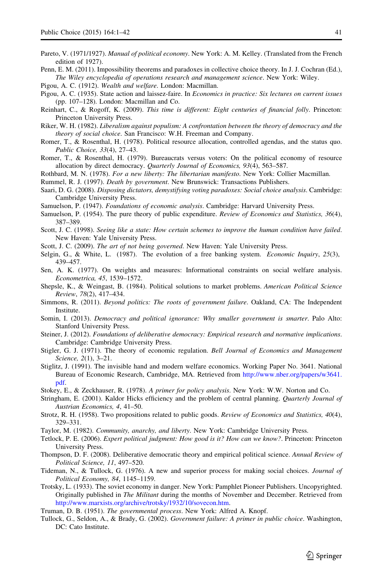- <span id="page-40-0"></span>Pareto, V. (1971/1927). Manual of political economy. New York: A. M. Kelley. (Translated from the French edition of 1927).
- Penn, E. M. (2011). Impossibility theorems and paradoxes in collective choice theory. In J. J. Cochran (Ed.), The Wiley encyclopedia of operations research and management science. New York: Wiley.
- Pigou, A. C. (1912). Wealth and welfare. London: Macmillan.
- Pigou, A. C. (1935). State action and laissez-faire. In Economics in practice: Six lectures on current issues (pp. 107–128). London: Macmillan and Co.
- Reinhart, C., & Rogoff, K. (2009). This time is different: Eight centuries of financial folly. Princeton: Princeton University Press.
- Riker, W. H. (1982). Liberalism against populism: A confrontation between the theory of democracy and the theory of social choice. San Francisco: W.H. Freeman and Company.
- Romer, T., & Rosenthal, H. (1978). Political resource allocation, controlled agendas, and the status quo. Public Choice, 33(4), 27–43.
- Romer, T., & Rosenthal, H. (1979). Bureaucrats versus voters: On the political economy of resource allocation by direct democracy. Quarterly Journal of Economics, 93(4), 563-587.
- Rothbard, M. N. (1978). For a new liberty: The libertarian manifesto. New York: Collier Macmillan.

Rummel, R. J. (1997). Death by government. New Brunswick: Transactions Publishers.

- Saari, D. G. (2008). Disposing dictators, demystifying voting paradoxes: Social choice analysis. Cambridge: Cambridge University Press.
- Samuelson, P. (1947). Foundations of economic analysis. Cambridge: Harvard University Press.
- Samuelson, P. (1954). The pure theory of public expenditure. Review of Economics and Statistics, 36(4), 387–389.
- Scott, J. C. (1998). Seeing like a state: How certain schemes to improve the human condition have failed. New Haven: Yale University Press.
- Scott, J. C. (2009). The art of not being governed. New Haven: Yale University Press.
- Selgin, G., & White, L. (1987). The evolution of a free banking system. *Economic Inquiry*, 25(3), 439–457.
- Sen, A. K. (1977). On weights and measures: Informational constraints on social welfare analysis. Econometrica, 45, 1539–1572.
- Shepsle, K., & Weingast, B. (1984). Political solutions to market problems. American Political Science Review, 78(2), 417–434.
- Simmons, R. (2011). Beyond politics: The roots of government failure. Oakland, CA: The Independent Institute.
- Somin, I. (2013). Democracy and political ignorance: Why smaller government is smarter. Palo Alto: Stanford University Press.
- Steiner, J. (2012). Foundations of deliberative democracy: Empirical research and normative implications. Cambridge: Cambridge University Press.
- Stigler, G. J. (1971). The theory of economic regulation. Bell Journal of Economics and Management Science, 2(1), 3–21.
- Stiglitz, J. (1991). The invisible hand and modern welfare economics. Working Paper No. 3641. National Bureau of Economic Research, Cambridge, MA. Retrieved from [http://www.nber.org/papers/w3641.](http://www.nber.org/papers/w3641.pdf) [pdf](http://www.nber.org/papers/w3641.pdf).
- Stokey, E., & Zeckhauser, R. (1978). A primer for policy analysis. New York: W.W. Norton and Co.
- Stringham, E. (2001). Kaldor Hicks efficiency and the problem of central planning. *Quarterly Journal of* Austrian Economics, 4, 41–50.
- Strotz, R. H. (1958). Two propositions related to public goods. Review of Economics and Statistics, 40(4), 329–331.
- Taylor, M. (1982). Community, anarchy, and liberty. New York: Cambridge University Press.
- Tetlock, P. E. (2006). Expert political judgment: How good is it? How can we know?. Princeton: Princeton University Press.
- Thompson, D. F. (2008). Deliberative democratic theory and empirical political science. Annual Review of Political Science, 11, 497–520.
- Tideman, N., & Tullock, G. (1976). A new and superior process for making social choices. Journal of Political Economy, 84, 1145–1159.
- Trotsky, L. (1933). The soviet economy in danger. New York: Pamphlet Pioneer Publishers. Uncopyrighted. Originally published in The Militant during the months of November and December. Retrieved from [http://www.marxists.org/archive/trotsky/1932/10/sovecon.htm.](http://www.marxists.org/archive/trotsky/1932/10/sovecon.htm)

Truman, D. B. (1951). The governmental process. New York: Alfred A. Knopf.

Tullock, G., Seldon, A., & Brady, G. (2002). Government failure: A primer in public choice. Washington, DC: Cato Institute.